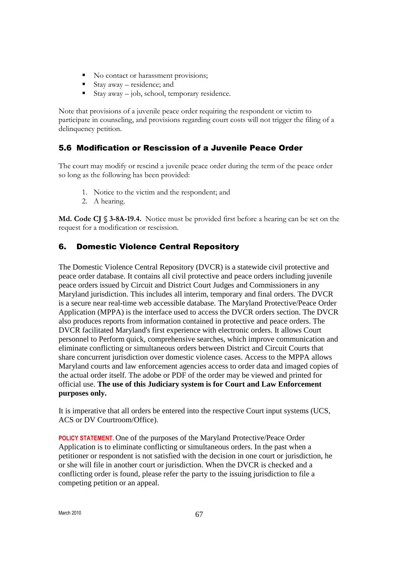- No contact or harassment provisions;
- Stay away residence; and
- Stay away job, school, temporary residence.

Note that provisions of a juvenile peace order requiring the respondent or victim to participate in counseling, and provisions regarding court costs will not trigger the filing of a delinquency petition.

### 5.6 Modification or Rescission of a Juvenile Peace Order

The court may modify or rescind a juvenile peace order during the term of the peace order so long as the following has been provided:

- 1. Notice to the victim and the respondent; and
- 2. A hearing.

**Md. Code CJ § 3-8A-19.4.** Notice must be provided first before a hearing can be set on the request for a modification or rescission.

### 6. Domestic Violence Central Repository

The Domestic Violence Central Repository (DVCR) is a statewide civil protective and peace order database. It contains all civil protective and peace orders including juvenile peace orders issued by Circuit and District Court Judges and Commissioners in any Maryland jurisdiction. This includes all interim, temporary and final orders. The DVCR is a secure near real-time web accessible database. The Maryland Protective/Peace Order Application (MPPA) is the interface used to access the DVCR orders section. The DVCR also produces reports from information contained in protective and peace orders. The DVCR facilitated Maryland's first experience with electronic orders. It allows Court personnel to perform quick, comprehensive searches, which improve communication and eliminate conflicting or simultaneous orders between District and Circuit Courts that share concurrent jurisdiction over domestic violence cases. Access to the MPPA allows Maryland courts and law enforcement agencies access to order data and imaged copies of the actual order itself. The adobe or PDF of the order may be viewed and printed for official use. **The use of this Judiciary system is for Court and Law Enforcement purposes only.**

It is imperative that all orders be entered into the respective Court input systems (UCS, ACS or DV Courtroom/Office).

**POLICY STATEMENT.** One of the purposes of the Maryland Protective/Peace Order Application is to eliminate conflicting or simultaneous orders. In the past when a petitioner or respondent is not satisfied with the decision in one court or jurisdiction, he or she will file in another court or jurisdiction. When the DVCR is checked and a conflicting order is found, please refer the party to the issuing jurisdiction to file a competing petition or an appeal.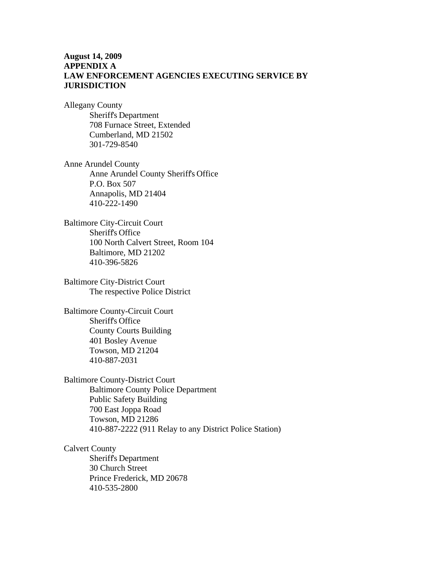### **August 14, 2009 APPENDIX A LAW ENFORCEMENT AGENCIES EXECUTING SERVICE BY JURISDICTION**

Allegany County Sheriff's Department 708 Furnace Street, Extended Cumberland, MD 21502 301-729-8540

Anne Arundel County Anne Arundel County Sheriff's Office P.O. Box 507 Annapolis, MD 21404 410-222-1490

Baltimore City-Circuit Court Sheriff's Office 100 North Calvert Street, Room 104 Baltimore, MD 21202 410-396-5826

Baltimore City-District Court The respective Police District

Baltimore County-Circuit Court Sheriff's Office County Courts Building 401 Bosley Avenue Towson, MD 21204 410-887-2031

Baltimore County-District Court Baltimore County Police Department Public Safety Building 700 East Joppa Road Towson, MD 21286 410-887-2222 (911 Relay to any District Police Station)

Calvert County Sheriff's Department 30 Church Street Prince Frederick, MD 20678 410-535-2800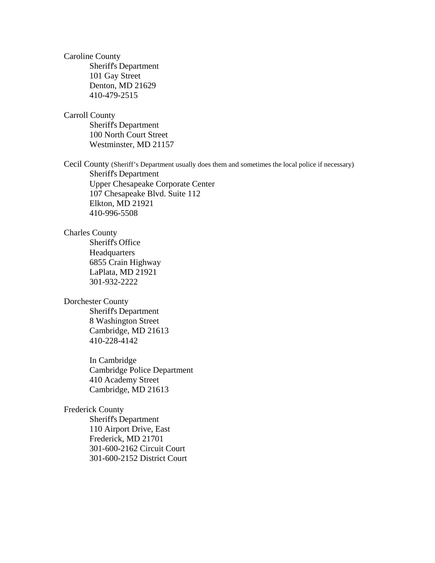Caroline County Sheriff's Department 101 Gay Street Denton, MD 21629 410-479-2515

Carroll County

 Sheriff's Department 100 North Court Street Westminster, MD 21157

Cecil County (Sheriff's Department usually does them and sometimes the local police if necessary)

Sheriff's Department Upper Chesapeake Corporate Center 107 Chesapeake Blvd. Suite 112 Elkton, MD 21921 410-996-5508

### Charles County

Sheriff's Office Headquarters 6855 Crain Highway LaPlata, MD 21921 301-932-2222

#### Dorchester County

 Sheriff's Department 8 Washington Street Cambridge, MD 21613 410-228-4142

 In Cambridge Cambridge Police Department 410 Academy Street Cambridge, MD 21613

#### Frederick County

 Sheriff's Department 110 Airport Drive, East Frederick, MD 21701 301-600-2162 Circuit Court 301-600-2152 District Court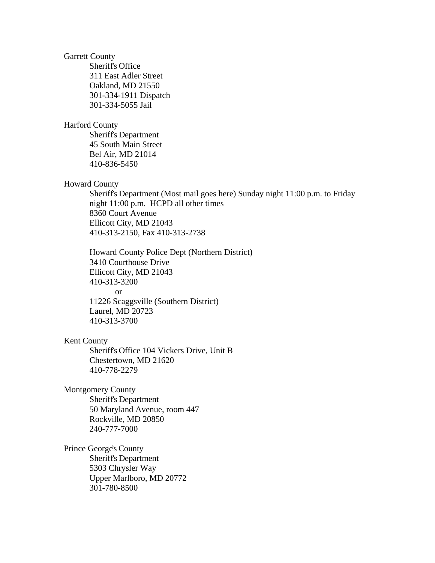Garrett County

 Sheriff's Office 311 East Adler Street Oakland, MD 21550 301-334-1911 Dispatch 301-334-5055 Jail

#### Harford County

 Sheriff's Department 45 South Main Street Bel Air, MD 21014 410-836-5450

#### Howard County

 Sheriff's Department (Most mail goes here) Sunday night 11:00 p.m. to Friday night 11:00 p.m. HCPD all other times 8360 Court Avenue Ellicott City, MD 21043 410-313-2150, Fax 410-313-2738

 Howard County Police Dept (Northern District) 3410 Courthouse Drive Ellicott City, MD 21043 410-313-3200 or 11226 Scaggsville (Southern District) Laurel, MD 20723 410-313-3700

#### Kent County

Sheriff's Office 104 Vickers Drive, Unit B Chestertown, MD 21620 410-778-2279

Montgomery County

 Sheriff's Department 50 Maryland Avenue, room 447 Rockville, MD 20850 240-777-7000

Prince George's County Sheriff's Department

 5303 Chrysler Way Upper Marlboro, MD 20772 301-780-8500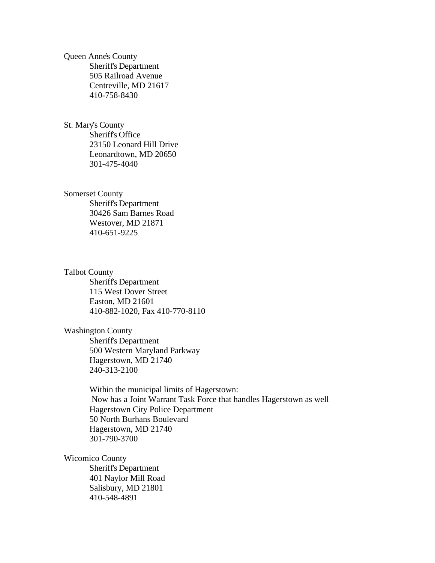Queen Anne's County Sheriff's Department 505 Railroad Avenue Centreville, MD 21617 410-758-8430

St. Mary's County Sheriff's Office 23150 Leonard Hill Drive Leonardtown, MD 20650 301-475-4040

#### Somerset County

 Sheriff's Department 30426 Sam Barnes Road Westover, MD 21871 410-651-9225

#### Talbot County

 Sheriff's Department 115 West Dover Street Easton, MD 21601 410-882-1020, Fax 410-770-8110

#### Washington County

 Sheriff's Department 500 Western Maryland Parkway Hagerstown, MD 21740 240-313-2100

 Within the municipal limits of Hagerstown: Now has a Joint Warrant Task Force that handles Hagerstown as well Hagerstown City Police Department 50 North Burhans Boulevard Hagerstown, MD 21740 301-790-3700

#### Wicomico County

 Sheriff's Department 401 Naylor Mill Road Salisbury, MD 21801 410-548-4891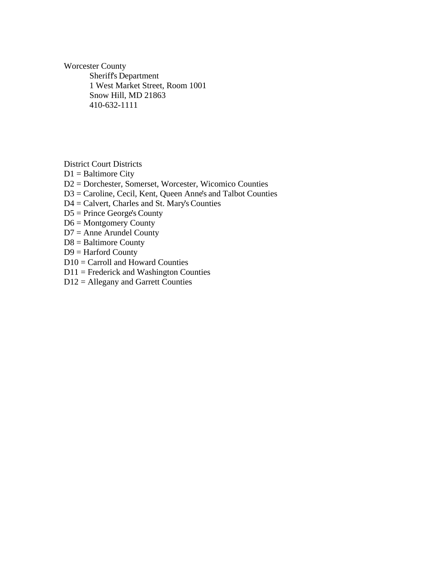Worcester County

 Sheriff's Department 1 West Market Street, Room 1001 Snow Hill, MD 21863 410-632-1111

District Court Districts

- $D1 =$  Baltimore City
- D2 = Dorchester, Somerset, Worcester, Wicomico Counties
- D3 = Caroline, Cecil, Kent, Queen Anne's and Talbot Counties
- D4 = Calvert, Charles and St. Mary's Counties
- D5 = Prince George's County
- D6 = Montgomery County
- $D7 =$  Anne Arundel County
- D8 = Baltimore County
- D9 = Harford County
- D10 = Carroll and Howard Counties
- $D11$  = Frederick and Washington Counties
- D12 = Allegany and Garrett Counties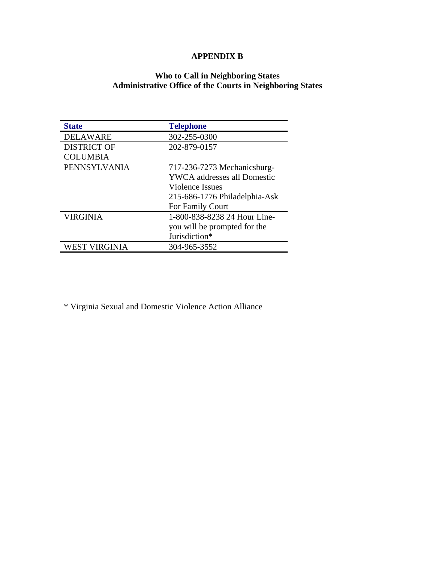### **APPENDIX B**

### **Who to Call in Neighboring States Administrative Office of the Courts in Neighboring States**

| <b>State</b>       | <b>Telephone</b>              |
|--------------------|-------------------------------|
| <b>DELAWARE</b>    | 302-255-0300                  |
| <b>DISTRICT OF</b> | 202-879-0157                  |
| <b>COLUMBIA</b>    |                               |
| PENNSYLVANIA       | 717-236-7273 Mechanicsburg-   |
|                    | YWCA addresses all Domestic   |
|                    | Violence Issues               |
|                    | 215-686-1776 Philadelphia-Ask |
|                    | For Family Court              |
| <b>VIRGINIA</b>    | 1-800-838-8238 24 Hour Line-  |
|                    | you will be prompted for the  |
|                    | Jurisdiction*                 |
| WEST VIRGINIA      | 304-965-3552                  |

\* Virginia Sexual and Domestic Violence Action Alliance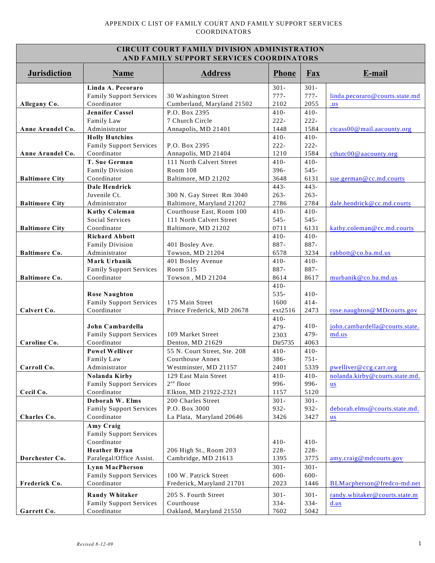| <b>CIRCUIT COURT FAMILY DIVISION ADMINISTRATION</b><br>AND FAMILY SUPPORT SERVICES COORDINATORS |                                                                                                            |                                                                                        |                                                |                                                |                                                                       |
|-------------------------------------------------------------------------------------------------|------------------------------------------------------------------------------------------------------------|----------------------------------------------------------------------------------------|------------------------------------------------|------------------------------------------------|-----------------------------------------------------------------------|
| <b>Jurisdiction</b>                                                                             | <b>Name</b>                                                                                                | <b>Address</b>                                                                         | <b>Phone</b>                                   | Fax                                            | E-mail                                                                |
| Allegany Co.                                                                                    | Linda A. Pecoraro<br><b>Family Support Services</b><br>Coordinator<br><b>Jennifer Cassel</b><br>Family Law | 30 Washington Street<br>Cumberland, Maryland 21502<br>P.O. Box 2395<br>7 Church Circle | $301 -$<br>$777-$<br>2102<br>$410-$<br>$222 -$ | $301 -$<br>$777-$<br>2055<br>$410-$<br>$222 -$ | linda.pecoraro@courts.state.md<br>.us                                 |
| Anne Arundel Co.                                                                                | Administrator<br><b>Holly Hutchins</b>                                                                     | Annapolis, MD 21401                                                                    | 1448<br>$410-$                                 | 1584<br>$410-$                                 | ctcass00@mail.aacounty.org                                            |
| Anne Arundel Co.                                                                                | <b>Family Support Services</b><br>Coordinator<br>T. Sue German                                             | P.O. Box 2395<br>Annapolis, MD 21404<br>111 North Calvert Street                       | $222 -$<br>1210<br>$410-$                      | $222 -$<br>1584<br>$410-$                      | cthutc00 $@$ aacounty.org                                             |
| <b>Baltimore City</b>                                                                           | <b>Family Division</b><br>Coordinator<br><b>Dale Hendrick</b>                                              | Room 108<br>Baltimore, MD 21202                                                        | 396-<br>3648<br>$443 -$                        | $545 -$<br>6131<br>$443-$                      | sue.german@cc.md.courts                                               |
| <b>Baltimore City</b>                                                                           | Juvenile Ct.<br>Administrator                                                                              | 300 N. Gay Street Rm 3040<br>Baltimore, Maryland 21202                                 | $263 -$<br>2786                                | $263 -$<br>2784                                | dale.hendrick@cc.md.courts                                            |
| <b>Baltimore City</b>                                                                           | <b>Kathy Coleman</b><br>Social Services<br>Coordinator                                                     | Courthouse East, Room 100<br>111 North Calvert Street<br>Baltimore, MD 21202           | $410-$<br>$545 -$<br>0711                      | $410-$<br>$545 -$<br>6131                      | kathy.coleman@cc.md.courts                                            |
| <b>Baltimore Co.</b>                                                                            | <b>Richard Abbott</b><br><b>Family Division</b><br>Administrator                                           | 401 Bosley Ave.<br>Towson, MD 21204                                                    | $410-$<br>887-<br>6578                         | $410-$<br>887-<br>3234                         | rabbott@co.ba.md.us                                                   |
| <b>Baltimore Co.</b>                                                                            | Mark Urbanik<br><b>Family Support Services</b><br>Coordinator                                              | 401 Bosley Avenue<br>Room 515<br>Towson, MD 21204                                      | $410-$<br>887-<br>8614                         | $410-$<br>887-<br>8617                         | murbanik@co.ba.md.us                                                  |
|                                                                                                 | <b>Rose Naughton</b><br><b>Family Support Services</b>                                                     | 175 Main Street                                                                        | $410-$<br>$535 -$<br>1600                      | $410-$<br>$414-$                               |                                                                       |
| Calvert Co.                                                                                     | Coordinator<br>John Cambardella<br><b>Family Support Services</b>                                          | Prince Frederick, MD 20678<br>109 Market Street                                        | ext2516<br>$410-$<br>479-                      | 2473<br>$410-$<br>479-                         | rose.naughton@MDcourts.gov<br>john.cambardella@courts.state.<br>md.us |
| Caroline Co.                                                                                    | Coordinator<br><b>Powel Welliver</b>                                                                       | Denton, MD 21629<br>55 N. Court Street, Ste. 208                                       | 2303<br>Dir5735<br>$410-$                      | 4063<br>$410-$                                 |                                                                       |
| Carroll Co.                                                                                     | Family Law<br>Administrator<br>Nolanda Kirby<br><b>Family Support Services</b>                             | Courthouse Annex<br>Westminster, MD 21157<br>129 East Main Street<br>$2nd$ floor       | 386-<br>2401<br>$410-$<br>996-                 | $751 -$<br>5339<br>$410-$<br>996-              | pwelliver@ccg.carr.org<br>nolanda.kirby@courts.state.md.<br><b>us</b> |
| Cecil Co.                                                                                       | Coordinator<br>Deborah W. Elms<br><b>Family Support Services</b>                                           | Elkton, MD 21922-2321<br>200 Charles Street<br>P.O. Box 3000                           | 1157<br>$301 -$<br>932-                        | 5120<br>$301 -$<br>932-                        | deborah.elms@courts.state.md.                                         |
| Charles Co.                                                                                     | Coordinator<br>Amy Craig<br><b>Family Support Services</b>                                                 | La Plata, Maryland 20646                                                               | 3426                                           | 3427                                           | <b>us</b>                                                             |
| Dorchester Co.                                                                                  | Coordinator<br><b>Heather Bryan</b><br>Paralegal/Office Assist.<br>Lynn MacPherson                         | 206 High St., Room 203<br>Cambridge, MD 21613                                          | $410-$<br>$228 -$<br>1395<br>$301 -$           | $410-$<br>228-<br>3775<br>$301 -$              | amy.craig@mdcourts.gov                                                |
| Frederick Co.                                                                                   | <b>Family Support Services</b><br>Coordinator                                                              | 100 W. Patrick Street<br>Frederick, Maryland 21701                                     | 600-<br>2023                                   | 600-<br>1446                                   | BLMacpherson@fredco-md.net                                            |
| Garrett Co.                                                                                     | <b>Randy Whitaker</b><br><b>Family Support Services</b><br>Coordinator                                     | 205 S. Fourth Street<br>Courthouse<br>Oakland, Maryland 21550                          | $301 -$<br>334-<br>7602                        | $301 -$<br>$334-$<br>5042                      | randy.whitaker@courts.state.m<br>d.us                                 |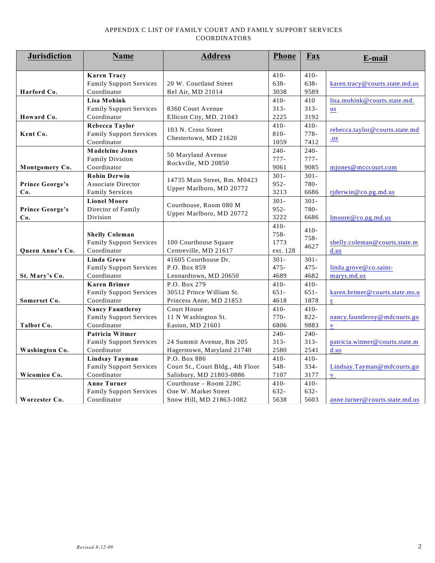#### APPENDIX C LIST OF FAMILY COURT AND FAMILY SUPPORT SERVICES COORDINATORS

| $410-$<br>$410-$<br><b>Karen Tracy</b><br>638-<br><b>Family Support Services</b><br>20 W. Courtland Street<br>638-<br>karen.tracy@courts.state.md.us<br>9589<br>Harford Co.<br>Coordinator<br>Bel Air, MD 21014<br>3038<br><b>Lisa Mohink</b><br>$410-$<br>410<br>lisa.mohink@courts.state.md.<br>$313-$<br>8360 Court Avenue<br>$313-$<br><b>Family Support Services</b><br>$us$<br>Howard Co.<br>Coordinator<br>Ellicott City, MD. 21043<br>2225<br>3192<br>$410-$<br>Rebecca Taylor<br>$410-$<br>103 N. Cross Street<br>rebecca.taylor@courts.state.md<br>$778 -$<br>$810 -$<br>Kent Co.<br><b>Family Support Services</b><br>Chestertown, MD 21620<br>$u$<br>Coordinator<br>1059<br>7412<br>$240 -$<br>240-<br><b>Madeleine Jones</b><br>50 Maryland Avenue<br>$777-$<br>$777-$<br><b>Family Division</b><br>Rockville, MD 20850<br>9085<br>Coordinator<br>9061<br>Montgomery Co.<br>mjones@mcccourt.com<br>$301 -$<br><b>Robin Derwin</b><br>$301 -$<br>14735 Main Street, Rm. M0423<br>$952 -$<br>780-<br><b>Prince George's</b><br><b>Associate Director</b><br>Upper Marlboro, MD 20772<br>3213<br>6686<br><b>Family Services</b><br>rjderwin@co.pg.md.us<br>Co.<br><b>Lionel Moore</b><br>$301 -$<br>$301 -$<br>Courthouse, Room 080 M<br>780-<br><b>Prince George's</b><br>Director of Family<br>$952 -$<br>Upper Marlboro, MD 20772<br>3222<br>Division<br>6686<br>$l$ moore@co.pg.md.us<br>Co.<br>$410-$<br>$410-$<br>$758 -$<br><b>Shelly Coleman</b><br>$758 -$<br><b>Family Support Services</b><br>1773<br>shelly.coleman@courts.state.m<br>100 Courthouse Square<br>4627<br>Coordinator<br>Centreville, MD 21617<br>ext. 128<br>d.us<br>Queen Anne's Co.<br><b>Linda Grove</b><br>41605 Courthouse Dr.<br>$301 -$<br>$301 -$<br>$475 -$<br>$475 -$<br><b>Family Support Services</b><br>P.O. Box 859<br>linda.grove@co.saint-<br>4689<br>4682<br>St. Mary's Co.<br>Coordinator<br>Leonardtown, MD 20650<br>marys.md.us<br>P.O. Box 279<br>$410-$<br>$410-$<br><b>Karen Brimer</b><br>30512 Prince William St.<br>$651 -$<br>$651 -$<br><b>Family Support Services</b><br>karen.brimer@courts.state.ms.u<br>1878<br>Coordinator<br>Princess Anne, MD 21853<br>4618<br>Somerset Co.<br>$\mathbf{s}$<br><b>Court House</b><br>$410-$<br><b>Nancy Fauntleroy</b><br>$410-$<br>$770-$<br>$822 -$<br><b>Family Support Services</b><br>11 N Washington St.<br>nancy.fauntleroy@mdcourts.go<br>Coordinator<br>6806<br>9883<br>Talbot Co.<br>Easton, MD 21601<br>$\overline{\mathbf{V}}$<br>Patricia Witmer<br>$240-$<br>$240-$<br><b>Family Support Services</b><br>24 Summit Avenue, Rm 205<br>$313-$<br>$313-$<br>patricia.witmer@courts.state.m<br>Coordinator<br>Hagerstown, Maryland 21740<br>2580<br>2541<br>Washington Co.<br>d.us<br>P.O. Box 886<br>$410-$<br>$410-$<br>Lindsay Tayman<br>Court St., Court Bldg., 4th Floor<br>548-<br>334-<br><b>Family Support Services</b><br>Lindsay.Tayman@mdcourts.go<br>Coordinator<br>7107<br>3177<br>Wicomico Co.<br>Salisbury, MD 21803-0886<br>$\mathbf{V}$ | <b>Jurisdiction</b> | Name | <b>Address</b> | <b>Phone</b> | Fax | E-mail |
|---------------------------------------------------------------------------------------------------------------------------------------------------------------------------------------------------------------------------------------------------------------------------------------------------------------------------------------------------------------------------------------------------------------------------------------------------------------------------------------------------------------------------------------------------------------------------------------------------------------------------------------------------------------------------------------------------------------------------------------------------------------------------------------------------------------------------------------------------------------------------------------------------------------------------------------------------------------------------------------------------------------------------------------------------------------------------------------------------------------------------------------------------------------------------------------------------------------------------------------------------------------------------------------------------------------------------------------------------------------------------------------------------------------------------------------------------------------------------------------------------------------------------------------------------------------------------------------------------------------------------------------------------------------------------------------------------------------------------------------------------------------------------------------------------------------------------------------------------------------------------------------------------------------------------------------------------------------------------------------------------------------------------------------------------------------------------------------------------------------------------------------------------------------------------------------------------------------------------------------------------------------------------------------------------------------------------------------------------------------------------------------------------------------------------------------------------------------------------------------------------------------------------------------------------------------------------------------------------------------------------------------------------------------------------------------------------------------------------------------------------------------------------------------------------------------------------------------------------------------------------------------------------------------------------------------------------------------------------------------------------------------------------|---------------------|------|----------------|--------------|-----|--------|
|                                                                                                                                                                                                                                                                                                                                                                                                                                                                                                                                                                                                                                                                                                                                                                                                                                                                                                                                                                                                                                                                                                                                                                                                                                                                                                                                                                                                                                                                                                                                                                                                                                                                                                                                                                                                                                                                                                                                                                                                                                                                                                                                                                                                                                                                                                                                                                                                                                                                                                                                                                                                                                                                                                                                                                                                                                                                                                                                                                                                                           |                     |      |                |              |     |        |
|                                                                                                                                                                                                                                                                                                                                                                                                                                                                                                                                                                                                                                                                                                                                                                                                                                                                                                                                                                                                                                                                                                                                                                                                                                                                                                                                                                                                                                                                                                                                                                                                                                                                                                                                                                                                                                                                                                                                                                                                                                                                                                                                                                                                                                                                                                                                                                                                                                                                                                                                                                                                                                                                                                                                                                                                                                                                                                                                                                                                                           |                     |      |                |              |     |        |
|                                                                                                                                                                                                                                                                                                                                                                                                                                                                                                                                                                                                                                                                                                                                                                                                                                                                                                                                                                                                                                                                                                                                                                                                                                                                                                                                                                                                                                                                                                                                                                                                                                                                                                                                                                                                                                                                                                                                                                                                                                                                                                                                                                                                                                                                                                                                                                                                                                                                                                                                                                                                                                                                                                                                                                                                                                                                                                                                                                                                                           |                     |      |                |              |     |        |
|                                                                                                                                                                                                                                                                                                                                                                                                                                                                                                                                                                                                                                                                                                                                                                                                                                                                                                                                                                                                                                                                                                                                                                                                                                                                                                                                                                                                                                                                                                                                                                                                                                                                                                                                                                                                                                                                                                                                                                                                                                                                                                                                                                                                                                                                                                                                                                                                                                                                                                                                                                                                                                                                                                                                                                                                                                                                                                                                                                                                                           |                     |      |                |              |     |        |
|                                                                                                                                                                                                                                                                                                                                                                                                                                                                                                                                                                                                                                                                                                                                                                                                                                                                                                                                                                                                                                                                                                                                                                                                                                                                                                                                                                                                                                                                                                                                                                                                                                                                                                                                                                                                                                                                                                                                                                                                                                                                                                                                                                                                                                                                                                                                                                                                                                                                                                                                                                                                                                                                                                                                                                                                                                                                                                                                                                                                                           |                     |      |                |              |     |        |
|                                                                                                                                                                                                                                                                                                                                                                                                                                                                                                                                                                                                                                                                                                                                                                                                                                                                                                                                                                                                                                                                                                                                                                                                                                                                                                                                                                                                                                                                                                                                                                                                                                                                                                                                                                                                                                                                                                                                                                                                                                                                                                                                                                                                                                                                                                                                                                                                                                                                                                                                                                                                                                                                                                                                                                                                                                                                                                                                                                                                                           |                     |      |                |              |     |        |
|                                                                                                                                                                                                                                                                                                                                                                                                                                                                                                                                                                                                                                                                                                                                                                                                                                                                                                                                                                                                                                                                                                                                                                                                                                                                                                                                                                                                                                                                                                                                                                                                                                                                                                                                                                                                                                                                                                                                                                                                                                                                                                                                                                                                                                                                                                                                                                                                                                                                                                                                                                                                                                                                                                                                                                                                                                                                                                                                                                                                                           |                     |      |                |              |     |        |
|                                                                                                                                                                                                                                                                                                                                                                                                                                                                                                                                                                                                                                                                                                                                                                                                                                                                                                                                                                                                                                                                                                                                                                                                                                                                                                                                                                                                                                                                                                                                                                                                                                                                                                                                                                                                                                                                                                                                                                                                                                                                                                                                                                                                                                                                                                                                                                                                                                                                                                                                                                                                                                                                                                                                                                                                                                                                                                                                                                                                                           |                     |      |                |              |     |        |
|                                                                                                                                                                                                                                                                                                                                                                                                                                                                                                                                                                                                                                                                                                                                                                                                                                                                                                                                                                                                                                                                                                                                                                                                                                                                                                                                                                                                                                                                                                                                                                                                                                                                                                                                                                                                                                                                                                                                                                                                                                                                                                                                                                                                                                                                                                                                                                                                                                                                                                                                                                                                                                                                                                                                                                                                                                                                                                                                                                                                                           |                     |      |                |              |     |        |
|                                                                                                                                                                                                                                                                                                                                                                                                                                                                                                                                                                                                                                                                                                                                                                                                                                                                                                                                                                                                                                                                                                                                                                                                                                                                                                                                                                                                                                                                                                                                                                                                                                                                                                                                                                                                                                                                                                                                                                                                                                                                                                                                                                                                                                                                                                                                                                                                                                                                                                                                                                                                                                                                                                                                                                                                                                                                                                                                                                                                                           |                     |      |                |              |     |        |
|                                                                                                                                                                                                                                                                                                                                                                                                                                                                                                                                                                                                                                                                                                                                                                                                                                                                                                                                                                                                                                                                                                                                                                                                                                                                                                                                                                                                                                                                                                                                                                                                                                                                                                                                                                                                                                                                                                                                                                                                                                                                                                                                                                                                                                                                                                                                                                                                                                                                                                                                                                                                                                                                                                                                                                                                                                                                                                                                                                                                                           |                     |      |                |              |     |        |
|                                                                                                                                                                                                                                                                                                                                                                                                                                                                                                                                                                                                                                                                                                                                                                                                                                                                                                                                                                                                                                                                                                                                                                                                                                                                                                                                                                                                                                                                                                                                                                                                                                                                                                                                                                                                                                                                                                                                                                                                                                                                                                                                                                                                                                                                                                                                                                                                                                                                                                                                                                                                                                                                                                                                                                                                                                                                                                                                                                                                                           |                     |      |                |              |     |        |
|                                                                                                                                                                                                                                                                                                                                                                                                                                                                                                                                                                                                                                                                                                                                                                                                                                                                                                                                                                                                                                                                                                                                                                                                                                                                                                                                                                                                                                                                                                                                                                                                                                                                                                                                                                                                                                                                                                                                                                                                                                                                                                                                                                                                                                                                                                                                                                                                                                                                                                                                                                                                                                                                                                                                                                                                                                                                                                                                                                                                                           |                     |      |                |              |     |        |
|                                                                                                                                                                                                                                                                                                                                                                                                                                                                                                                                                                                                                                                                                                                                                                                                                                                                                                                                                                                                                                                                                                                                                                                                                                                                                                                                                                                                                                                                                                                                                                                                                                                                                                                                                                                                                                                                                                                                                                                                                                                                                                                                                                                                                                                                                                                                                                                                                                                                                                                                                                                                                                                                                                                                                                                                                                                                                                                                                                                                                           |                     |      |                |              |     |        |
|                                                                                                                                                                                                                                                                                                                                                                                                                                                                                                                                                                                                                                                                                                                                                                                                                                                                                                                                                                                                                                                                                                                                                                                                                                                                                                                                                                                                                                                                                                                                                                                                                                                                                                                                                                                                                                                                                                                                                                                                                                                                                                                                                                                                                                                                                                                                                                                                                                                                                                                                                                                                                                                                                                                                                                                                                                                                                                                                                                                                                           |                     |      |                |              |     |        |
|                                                                                                                                                                                                                                                                                                                                                                                                                                                                                                                                                                                                                                                                                                                                                                                                                                                                                                                                                                                                                                                                                                                                                                                                                                                                                                                                                                                                                                                                                                                                                                                                                                                                                                                                                                                                                                                                                                                                                                                                                                                                                                                                                                                                                                                                                                                                                                                                                                                                                                                                                                                                                                                                                                                                                                                                                                                                                                                                                                                                                           |                     |      |                |              |     |        |
|                                                                                                                                                                                                                                                                                                                                                                                                                                                                                                                                                                                                                                                                                                                                                                                                                                                                                                                                                                                                                                                                                                                                                                                                                                                                                                                                                                                                                                                                                                                                                                                                                                                                                                                                                                                                                                                                                                                                                                                                                                                                                                                                                                                                                                                                                                                                                                                                                                                                                                                                                                                                                                                                                                                                                                                                                                                                                                                                                                                                                           |                     |      |                |              |     |        |
|                                                                                                                                                                                                                                                                                                                                                                                                                                                                                                                                                                                                                                                                                                                                                                                                                                                                                                                                                                                                                                                                                                                                                                                                                                                                                                                                                                                                                                                                                                                                                                                                                                                                                                                                                                                                                                                                                                                                                                                                                                                                                                                                                                                                                                                                                                                                                                                                                                                                                                                                                                                                                                                                                                                                                                                                                                                                                                                                                                                                                           |                     |      |                |              |     |        |
|                                                                                                                                                                                                                                                                                                                                                                                                                                                                                                                                                                                                                                                                                                                                                                                                                                                                                                                                                                                                                                                                                                                                                                                                                                                                                                                                                                                                                                                                                                                                                                                                                                                                                                                                                                                                                                                                                                                                                                                                                                                                                                                                                                                                                                                                                                                                                                                                                                                                                                                                                                                                                                                                                                                                                                                                                                                                                                                                                                                                                           |                     |      |                |              |     |        |
|                                                                                                                                                                                                                                                                                                                                                                                                                                                                                                                                                                                                                                                                                                                                                                                                                                                                                                                                                                                                                                                                                                                                                                                                                                                                                                                                                                                                                                                                                                                                                                                                                                                                                                                                                                                                                                                                                                                                                                                                                                                                                                                                                                                                                                                                                                                                                                                                                                                                                                                                                                                                                                                                                                                                                                                                                                                                                                                                                                                                                           |                     |      |                |              |     |        |
|                                                                                                                                                                                                                                                                                                                                                                                                                                                                                                                                                                                                                                                                                                                                                                                                                                                                                                                                                                                                                                                                                                                                                                                                                                                                                                                                                                                                                                                                                                                                                                                                                                                                                                                                                                                                                                                                                                                                                                                                                                                                                                                                                                                                                                                                                                                                                                                                                                                                                                                                                                                                                                                                                                                                                                                                                                                                                                                                                                                                                           |                     |      |                |              |     |        |
|                                                                                                                                                                                                                                                                                                                                                                                                                                                                                                                                                                                                                                                                                                                                                                                                                                                                                                                                                                                                                                                                                                                                                                                                                                                                                                                                                                                                                                                                                                                                                                                                                                                                                                                                                                                                                                                                                                                                                                                                                                                                                                                                                                                                                                                                                                                                                                                                                                                                                                                                                                                                                                                                                                                                                                                                                                                                                                                                                                                                                           |                     |      |                |              |     |        |
|                                                                                                                                                                                                                                                                                                                                                                                                                                                                                                                                                                                                                                                                                                                                                                                                                                                                                                                                                                                                                                                                                                                                                                                                                                                                                                                                                                                                                                                                                                                                                                                                                                                                                                                                                                                                                                                                                                                                                                                                                                                                                                                                                                                                                                                                                                                                                                                                                                                                                                                                                                                                                                                                                                                                                                                                                                                                                                                                                                                                                           |                     |      |                |              |     |        |
|                                                                                                                                                                                                                                                                                                                                                                                                                                                                                                                                                                                                                                                                                                                                                                                                                                                                                                                                                                                                                                                                                                                                                                                                                                                                                                                                                                                                                                                                                                                                                                                                                                                                                                                                                                                                                                                                                                                                                                                                                                                                                                                                                                                                                                                                                                                                                                                                                                                                                                                                                                                                                                                                                                                                                                                                                                                                                                                                                                                                                           |                     |      |                |              |     |        |
|                                                                                                                                                                                                                                                                                                                                                                                                                                                                                                                                                                                                                                                                                                                                                                                                                                                                                                                                                                                                                                                                                                                                                                                                                                                                                                                                                                                                                                                                                                                                                                                                                                                                                                                                                                                                                                                                                                                                                                                                                                                                                                                                                                                                                                                                                                                                                                                                                                                                                                                                                                                                                                                                                                                                                                                                                                                                                                                                                                                                                           |                     |      |                |              |     |        |
|                                                                                                                                                                                                                                                                                                                                                                                                                                                                                                                                                                                                                                                                                                                                                                                                                                                                                                                                                                                                                                                                                                                                                                                                                                                                                                                                                                                                                                                                                                                                                                                                                                                                                                                                                                                                                                                                                                                                                                                                                                                                                                                                                                                                                                                                                                                                                                                                                                                                                                                                                                                                                                                                                                                                                                                                                                                                                                                                                                                                                           |                     |      |                |              |     |        |
|                                                                                                                                                                                                                                                                                                                                                                                                                                                                                                                                                                                                                                                                                                                                                                                                                                                                                                                                                                                                                                                                                                                                                                                                                                                                                                                                                                                                                                                                                                                                                                                                                                                                                                                                                                                                                                                                                                                                                                                                                                                                                                                                                                                                                                                                                                                                                                                                                                                                                                                                                                                                                                                                                                                                                                                                                                                                                                                                                                                                                           |                     |      |                |              |     |        |
|                                                                                                                                                                                                                                                                                                                                                                                                                                                                                                                                                                                                                                                                                                                                                                                                                                                                                                                                                                                                                                                                                                                                                                                                                                                                                                                                                                                                                                                                                                                                                                                                                                                                                                                                                                                                                                                                                                                                                                                                                                                                                                                                                                                                                                                                                                                                                                                                                                                                                                                                                                                                                                                                                                                                                                                                                                                                                                                                                                                                                           |                     |      |                |              |     |        |
|                                                                                                                                                                                                                                                                                                                                                                                                                                                                                                                                                                                                                                                                                                                                                                                                                                                                                                                                                                                                                                                                                                                                                                                                                                                                                                                                                                                                                                                                                                                                                                                                                                                                                                                                                                                                                                                                                                                                                                                                                                                                                                                                                                                                                                                                                                                                                                                                                                                                                                                                                                                                                                                                                                                                                                                                                                                                                                                                                                                                                           |                     |      |                |              |     |        |
|                                                                                                                                                                                                                                                                                                                                                                                                                                                                                                                                                                                                                                                                                                                                                                                                                                                                                                                                                                                                                                                                                                                                                                                                                                                                                                                                                                                                                                                                                                                                                                                                                                                                                                                                                                                                                                                                                                                                                                                                                                                                                                                                                                                                                                                                                                                                                                                                                                                                                                                                                                                                                                                                                                                                                                                                                                                                                                                                                                                                                           |                     |      |                |              |     |        |
|                                                                                                                                                                                                                                                                                                                                                                                                                                                                                                                                                                                                                                                                                                                                                                                                                                                                                                                                                                                                                                                                                                                                                                                                                                                                                                                                                                                                                                                                                                                                                                                                                                                                                                                                                                                                                                                                                                                                                                                                                                                                                                                                                                                                                                                                                                                                                                                                                                                                                                                                                                                                                                                                                                                                                                                                                                                                                                                                                                                                                           |                     |      |                |              |     |        |
|                                                                                                                                                                                                                                                                                                                                                                                                                                                                                                                                                                                                                                                                                                                                                                                                                                                                                                                                                                                                                                                                                                                                                                                                                                                                                                                                                                                                                                                                                                                                                                                                                                                                                                                                                                                                                                                                                                                                                                                                                                                                                                                                                                                                                                                                                                                                                                                                                                                                                                                                                                                                                                                                                                                                                                                                                                                                                                                                                                                                                           |                     |      |                |              |     |        |
|                                                                                                                                                                                                                                                                                                                                                                                                                                                                                                                                                                                                                                                                                                                                                                                                                                                                                                                                                                                                                                                                                                                                                                                                                                                                                                                                                                                                                                                                                                                                                                                                                                                                                                                                                                                                                                                                                                                                                                                                                                                                                                                                                                                                                                                                                                                                                                                                                                                                                                                                                                                                                                                                                                                                                                                                                                                                                                                                                                                                                           |                     |      |                |              |     |        |
|                                                                                                                                                                                                                                                                                                                                                                                                                                                                                                                                                                                                                                                                                                                                                                                                                                                                                                                                                                                                                                                                                                                                                                                                                                                                                                                                                                                                                                                                                                                                                                                                                                                                                                                                                                                                                                                                                                                                                                                                                                                                                                                                                                                                                                                                                                                                                                                                                                                                                                                                                                                                                                                                                                                                                                                                                                                                                                                                                                                                                           |                     |      |                |              |     |        |
|                                                                                                                                                                                                                                                                                                                                                                                                                                                                                                                                                                                                                                                                                                                                                                                                                                                                                                                                                                                                                                                                                                                                                                                                                                                                                                                                                                                                                                                                                                                                                                                                                                                                                                                                                                                                                                                                                                                                                                                                                                                                                                                                                                                                                                                                                                                                                                                                                                                                                                                                                                                                                                                                                                                                                                                                                                                                                                                                                                                                                           |                     |      |                |              |     |        |
|                                                                                                                                                                                                                                                                                                                                                                                                                                                                                                                                                                                                                                                                                                                                                                                                                                                                                                                                                                                                                                                                                                                                                                                                                                                                                                                                                                                                                                                                                                                                                                                                                                                                                                                                                                                                                                                                                                                                                                                                                                                                                                                                                                                                                                                                                                                                                                                                                                                                                                                                                                                                                                                                                                                                                                                                                                                                                                                                                                                                                           |                     |      |                |              |     |        |
| <b>Anne Turner</b><br>Courthouse - Room 228C<br>$410-$<br>$410-$                                                                                                                                                                                                                                                                                                                                                                                                                                                                                                                                                                                                                                                                                                                                                                                                                                                                                                                                                                                                                                                                                                                                                                                                                                                                                                                                                                                                                                                                                                                                                                                                                                                                                                                                                                                                                                                                                                                                                                                                                                                                                                                                                                                                                                                                                                                                                                                                                                                                                                                                                                                                                                                                                                                                                                                                                                                                                                                                                          |                     |      |                |              |     |        |
| <b>Family Support Services</b><br>632-<br>632-<br>One W. Market Street                                                                                                                                                                                                                                                                                                                                                                                                                                                                                                                                                                                                                                                                                                                                                                                                                                                                                                                                                                                                                                                                                                                                                                                                                                                                                                                                                                                                                                                                                                                                                                                                                                                                                                                                                                                                                                                                                                                                                                                                                                                                                                                                                                                                                                                                                                                                                                                                                                                                                                                                                                                                                                                                                                                                                                                                                                                                                                                                                    |                     |      |                |              |     |        |
| Coordinator<br>5638<br>5603<br>Worcester Co.<br>Snow Hill, MD 21863-1082<br>anne.turner@courts.state.md.us                                                                                                                                                                                                                                                                                                                                                                                                                                                                                                                                                                                                                                                                                                                                                                                                                                                                                                                                                                                                                                                                                                                                                                                                                                                                                                                                                                                                                                                                                                                                                                                                                                                                                                                                                                                                                                                                                                                                                                                                                                                                                                                                                                                                                                                                                                                                                                                                                                                                                                                                                                                                                                                                                                                                                                                                                                                                                                                |                     |      |                |              |     |        |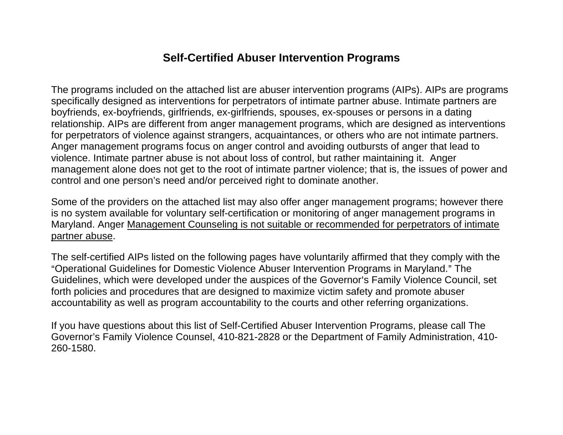The programs included on the attached list are abuser intervention programs (AIPs). AIPs are programs specifically designed as interventions for perpetrators of intimate partner abuse. Intimate partners are boyfriends, ex-boyfriends, girlfriends, ex-girlfriends, spouses, ex-spouses or persons in a dating relationship. AIPs are different from anger management programs, which are designed as interventions for perpetrators of violence against strangers, acquaintances, or others who are not intimate partners. Anger management programs focus on anger control and avoiding outbursts of anger that lead to violence. Intimate partner abuse is not about loss of control, but rather maintaining it. Anger management alone does not get to the root of intimate partner violence; that is, the issues of power and control and one person's need and/or perceived right to dominate another.

Some of the providers on the attached list may also offer anger management programs; however there is no system available for voluntary self-certification or monitoring of anger management programs in Maryland. Anger Management Counseling is not suitable or recommended for perpetrators of intimate partner abuse.

The self-certified AIPs listed on the following pages have voluntarily affirmed that they comply with the "Operational Guidelines for Domestic Violence Abuser Intervention Programs in Maryland." The Guidelines, which were developed under the auspices of the Governor's Family Violence Council, set forth policies and procedures that are designed to maximize victim safety and promote abuser accountability as well as program accountability to the courts and other referring organizations.

If you have questions about this list of Self-Certified Abuser Intervention Programs, please call The Governor's Family Violence Counsel, 410-821-2828 or the Department of Family Administration, 410- 260-1580.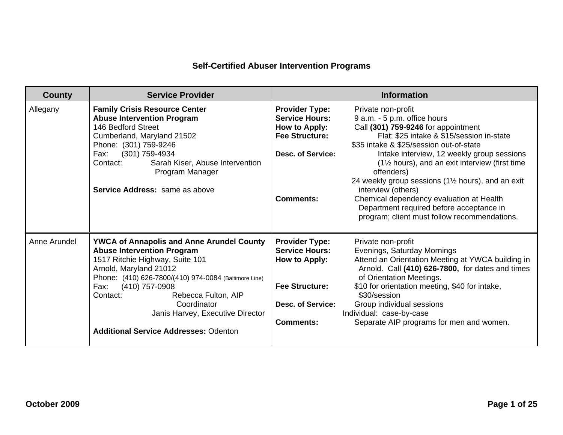| <b>County</b> | <b>Service Provider</b>                                                                                                                                                                                                                                                                                                                                                     |                                                                                                                                          | <b>Information</b>                                                                                                                                                                                                                                                                                                                                                                                                                                                                                                 |
|---------------|-----------------------------------------------------------------------------------------------------------------------------------------------------------------------------------------------------------------------------------------------------------------------------------------------------------------------------------------------------------------------------|------------------------------------------------------------------------------------------------------------------------------------------|--------------------------------------------------------------------------------------------------------------------------------------------------------------------------------------------------------------------------------------------------------------------------------------------------------------------------------------------------------------------------------------------------------------------------------------------------------------------------------------------------------------------|
| Allegany      | <b>Family Crisis Resource Center</b><br><b>Abuse Intervention Program</b><br>146 Bedford Street<br>Cumberland, Maryland 21502<br>Phone: (301) 759-9246<br>(301) 759-4934<br>Fax:<br>Sarah Kiser, Abuse Intervention<br>Contact:<br>Program Manager<br>Service Address: same as above                                                                                        | <b>Provider Type:</b><br><b>Service Hours:</b><br>How to Apply:<br><b>Fee Structure:</b><br><b>Desc. of Service:</b><br><b>Comments:</b> | Private non-profit<br>9 a.m. - 5 p.m. office hours<br>Call (301) 759-9246 for appointment<br>Flat: \$25 intake & \$15/session in-state<br>\$35 intake & \$25/session out-of-state<br>Intake interview, 12 weekly group sessions<br>(1½ hours), and an exit interview (first time<br>offenders)<br>24 weekly group sessions (11/2 hours), and an exit<br>interview (others)<br>Chemical dependency evaluation at Health<br>Department required before acceptance in<br>program; client must follow recommendations. |
| Anne Arundel  | <b>YWCA of Annapolis and Anne Arundel County</b><br><b>Abuse Intervention Program</b><br>1517 Ritchie Highway, Suite 101<br>Arnold, Maryland 21012<br>Phone: (410) 626-7800/(410) 974-0084 (Baltimore Line)<br>(410) 757-0908<br>Fax:<br>Contact:<br>Rebecca Fulton, AIP<br>Coordinator<br>Janis Harvey, Executive Director<br><b>Additional Service Addresses: Odenton</b> | <b>Provider Type:</b><br><b>Service Hours:</b><br>How to Apply:<br><b>Fee Structure:</b><br><b>Desc. of Service:</b><br><b>Comments:</b> | Private non-profit<br>Evenings, Saturday Mornings<br>Attend an Orientation Meeting at YWCA building in<br>Arnold. Call (410) 626-7800, for dates and times<br>of Orientation Meetings.<br>\$10 for orientation meeting, \$40 for intake,<br>\$30/session<br>Group individual sessions<br>Individual: case-by-case<br>Separate AIP programs for men and women.                                                                                                                                                      |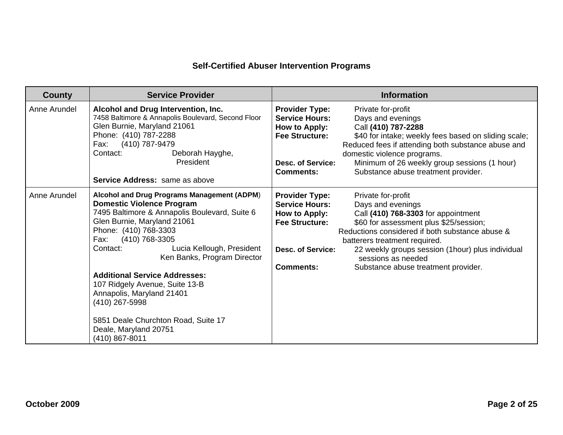| <b>County</b> | <b>Service Provider</b>                                                                                                                                                                                                                                                                                                                                                                                                                                                                               | <b>Information</b>                                                                                                                                                                                                                                                                                                                                                                                                                                                        |
|---------------|-------------------------------------------------------------------------------------------------------------------------------------------------------------------------------------------------------------------------------------------------------------------------------------------------------------------------------------------------------------------------------------------------------------------------------------------------------------------------------------------------------|---------------------------------------------------------------------------------------------------------------------------------------------------------------------------------------------------------------------------------------------------------------------------------------------------------------------------------------------------------------------------------------------------------------------------------------------------------------------------|
| Anne Arundel  | Alcohol and Drug Intervention, Inc.<br>7458 Baltimore & Annapolis Boulevard, Second Floor<br>Glen Burnie, Maryland 21061<br>Phone: (410) 787-2288<br>(410) 787-9479<br>Fax:<br>Contact:<br>Deborah Hayghe,<br>President<br>Service Address: same as above                                                                                                                                                                                                                                             | <b>Provider Type:</b><br>Private for-profit<br><b>Service Hours:</b><br>Days and evenings<br>Call (410) 787-2288<br>How to Apply:<br><b>Fee Structure:</b><br>\$40 for intake; weekly fees based on sliding scale;<br>Reduced fees if attending both substance abuse and<br>domestic violence programs.<br>Minimum of 26 weekly group sessions (1 hour)<br><b>Desc. of Service:</b><br>Substance abuse treatment provider.<br><b>Comments:</b>                            |
| Anne Arundel  | Alcohol and Drug Programs Management (ADPM)<br><b>Domestic Violence Program</b><br>7495 Baltimore & Annapolis Boulevard, Suite 6<br>Glen Burnie, Maryland 21061<br>Phone: (410) 768-3303<br>(410) 768-3305<br>Fax:<br>Contact:<br>Lucia Kellough, President<br>Ken Banks, Program Director<br><b>Additional Service Addresses:</b><br>107 Ridgely Avenue, Suite 13-B<br>Annapolis, Maryland 21401<br>(410) 267-5998<br>5851 Deale Churchton Road, Suite 17<br>Deale, Maryland 20751<br>(410) 867-8011 | <b>Provider Type:</b><br>Private for-profit<br><b>Service Hours:</b><br>Days and evenings<br>Call (410) 768-3303 for appointment<br>How to Apply:<br><b>Fee Structure:</b><br>\$60 for assessment plus \$25/session;<br>Reductions considered if both substance abuse &<br>batterers treatment required.<br>22 weekly groups session (1hour) plus individual<br><b>Desc. of Service:</b><br>sessions as needed<br><b>Comments:</b><br>Substance abuse treatment provider. |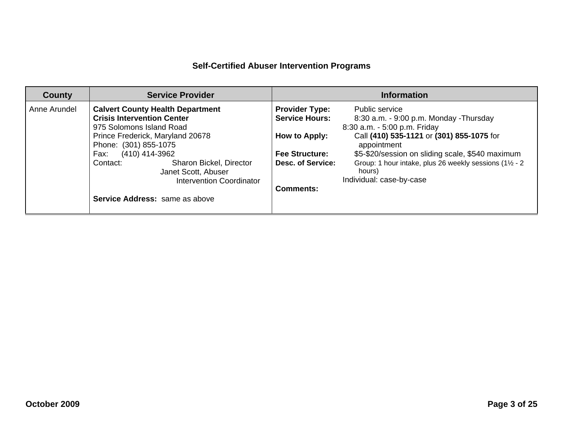| <b>County</b> | <b>Service Provider</b>                                                                                                                                                                                                                                                                                                                   | <b>Information</b>                                                                                                                                                                                                                                                                                                                                                                                                                              |
|---------------|-------------------------------------------------------------------------------------------------------------------------------------------------------------------------------------------------------------------------------------------------------------------------------------------------------------------------------------------|-------------------------------------------------------------------------------------------------------------------------------------------------------------------------------------------------------------------------------------------------------------------------------------------------------------------------------------------------------------------------------------------------------------------------------------------------|
| Anne Arundel  | <b>Calvert County Health Department</b><br><b>Crisis Intervention Center</b><br>975 Solomons Island Road<br>Prince Frederick, Maryland 20678<br>Phone: (301) 855-1075<br>(410) 414-3962<br>Fax:<br>Sharon Bickel, Director<br>Contact:<br>Janet Scott, Abuser<br><b>Intervention Coordinator</b><br><b>Service Address:</b> same as above | Public service<br><b>Provider Type:</b><br><b>Service Hours:</b><br>8:30 a.m. - 9:00 p.m. Monday - Thursday<br>8:30 a.m. - 5:00 p.m. Friday<br>Call (410) 535-1121 or (301) 855-1075 for<br>How to Apply:<br>appointment<br>\$5-\$20/session on sliding scale, \$540 maximum<br><b>Fee Structure:</b><br>Group: 1 hour intake, plus 26 weekly sessions (11/2 - 2<br>Desc. of Service:<br>hours)<br>Individual: case-by-case<br><b>Comments:</b> |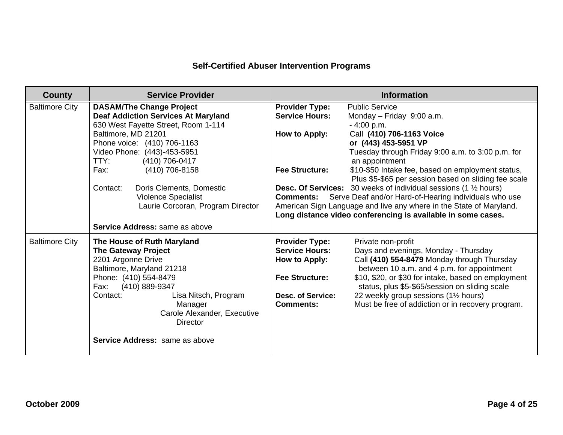| <b>County</b>         | <b>Service Provider</b>                                                       |                                                | <b>Information</b>                                                                |
|-----------------------|-------------------------------------------------------------------------------|------------------------------------------------|-----------------------------------------------------------------------------------|
| <b>Baltimore City</b> | <b>DASAM/The Change Project</b><br><b>Deaf Addiction Services At Maryland</b> | <b>Provider Type:</b><br><b>Service Hours:</b> | <b>Public Service</b><br>Monday - Friday 9:00 a.m.                                |
|                       | 630 West Fayette Street, Room 1-114                                           |                                                | $-4:00 p.m.$                                                                      |
|                       | Baltimore, MD 21201                                                           | How to Apply:                                  | Call (410) 706-1163 Voice                                                         |
|                       | Phone voice: (410) 706-1163                                                   |                                                | or (443) 453-5951 VP                                                              |
|                       | Video Phone: (443)-453-5951                                                   |                                                | Tuesday through Friday 9:00 a.m. to 3:00 p.m. for                                 |
|                       | (410) 706-0417<br>TTY:                                                        |                                                | an appointment                                                                    |
|                       | (410) 706-8158<br>Fax:                                                        | <b>Fee Structure:</b>                          | \$10-\$50 Intake fee, based on employment status,                                 |
|                       |                                                                               |                                                | Plus \$5-\$65 per session based on sliding fee scale                              |
|                       | Doris Clements, Domestic<br>Contact:                                          |                                                | <b>Desc. Of Services:</b> 30 weeks of individual sessions (1 $\frac{1}{2}$ hours) |
|                       | Violence Specialist                                                           | <b>Comments:</b>                               | Serve Deaf and/or Hard-of-Hearing individuals who use                             |
|                       | Laurie Corcoran, Program Director                                             |                                                | American Sign Language and live any where in the State of Maryland.               |
|                       |                                                                               |                                                | Long distance video conferencing is available in some cases.                      |
|                       | Service Address: same as above                                                |                                                |                                                                                   |
| <b>Baltimore City</b> | The House of Ruth Maryland                                                    | <b>Provider Type:</b>                          | Private non-profit                                                                |
|                       | <b>The Gateway Project</b>                                                    | <b>Service Hours:</b>                          | Days and evenings, Monday - Thursday                                              |
|                       | 2201 Argonne Drive                                                            | How to Apply:                                  | Call (410) 554-8479 Monday through Thursday                                       |
|                       | Baltimore, Maryland 21218                                                     |                                                | between 10 a.m. and 4 p.m. for appointment                                        |
|                       | Phone: (410) 554-8479                                                         | <b>Fee Structure:</b>                          | \$10, \$20, or \$30 for intake, based on employment                               |
|                       | (410) 889-9347<br>Fax:                                                        |                                                | status, plus \$5-\$65/session on sliding scale                                    |
|                       | Contact:<br>Lisa Nitsch, Program                                              | <b>Desc. of Service:</b>                       | 22 weekly group sessions (1½ hours)                                               |
|                       | Manager                                                                       | <b>Comments:</b>                               | Must be free of addiction or in recovery program.                                 |
|                       | Carole Alexander, Executive<br><b>Director</b>                                |                                                |                                                                                   |
|                       |                                                                               |                                                |                                                                                   |
|                       | Service Address: same as above                                                |                                                |                                                                                   |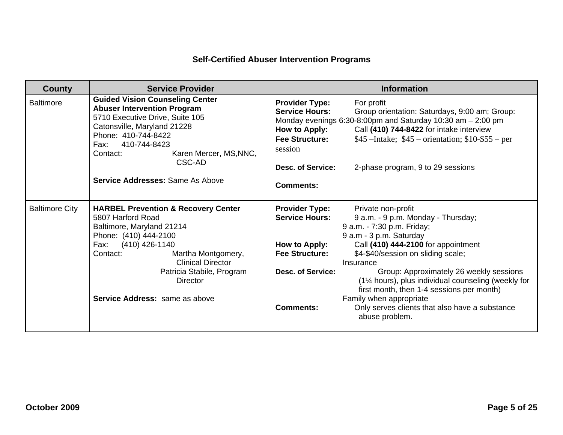| <b>County</b>         | <b>Service Provider</b>                                                                                                                                                                                                                                                                          | <b>Information</b>                                                                                                                                                                                                                                                                                                                                                                                                                                                                                                                                                                                   |
|-----------------------|--------------------------------------------------------------------------------------------------------------------------------------------------------------------------------------------------------------------------------------------------------------------------------------------------|------------------------------------------------------------------------------------------------------------------------------------------------------------------------------------------------------------------------------------------------------------------------------------------------------------------------------------------------------------------------------------------------------------------------------------------------------------------------------------------------------------------------------------------------------------------------------------------------------|
| <b>Baltimore</b>      | <b>Guided Vision Counseling Center</b><br><b>Abuser Intervention Program</b><br>5710 Executive Drive, Suite 105<br>Catonsville, Maryland 21228<br>Phone: 410-744-8422<br>410-744-8423<br>Fax:<br>Karen Mercer, MS, NNC,<br>Contact:<br>CSC-AD<br><b>Service Addresses: Same As Above</b>         | <b>Provider Type:</b><br>For profit<br><b>Service Hours:</b><br>Group orientation: Saturdays, 9:00 am; Group:<br>Monday evenings $6:30-8:00$ pm and Saturday 10:30 am $-2:00$ pm<br>Call (410) 744-8422 for intake interview<br>How to Apply:<br>$$45$ –Intake; $$45$ – orientation; $$10-\$55$ – per<br><b>Fee Structure:</b><br>session<br>Desc. of Service:<br>2-phase program, 9 to 29 sessions<br><b>Comments:</b>                                                                                                                                                                              |
| <b>Baltimore City</b> | <b>HARBEL Prevention &amp; Recovery Center</b><br>5807 Harford Road<br>Baltimore, Maryland 21214<br>Phone: (410) 444-2100<br>Fax: (410) 426-1140<br>Contact:<br>Martha Montgomery,<br><b>Clinical Director</b><br>Patricia Stabile, Program<br><b>Director</b><br>Service Address: same as above | <b>Provider Type:</b><br>Private non-profit<br><b>Service Hours:</b><br>9 a.m. - 9 p.m. Monday - Thursday;<br>9 a.m. - 7:30 p.m. Friday;<br>9 a.m - 3 p.m. Saturday<br>Call (410) 444-2100 for appointment<br>How to Apply:<br><b>Fee Structure:</b><br>\$4-\$40/session on sliding scale;<br>Insurance<br><b>Desc. of Service:</b><br>Group: Approximately 26 weekly sessions<br>(1% hours), plus individual counseling (weekly for<br>first month, then 1-4 sessions per month)<br>Family when appropriate<br><b>Comments:</b><br>Only serves clients that also have a substance<br>abuse problem. |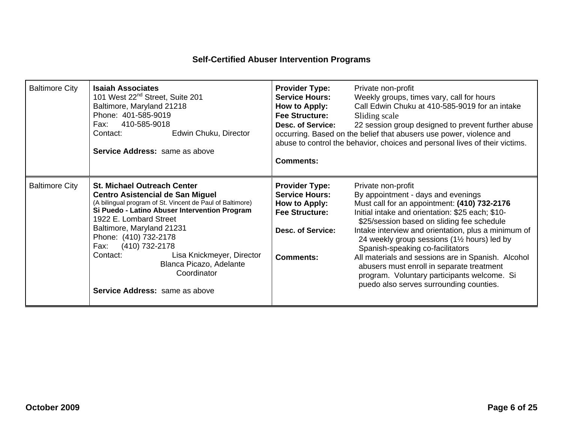| <b>Baltimore City</b> | <b>Isaiah Associates</b><br>101 West 22 <sup>nd</sup> Street, Suite 201<br>Baltimore, Maryland 21218<br>Phone: 401-585-9019<br>410-585-9018<br>Fax:<br>Edwin Chuku, Director<br>Contact:<br><b>Service Address: same as above</b>                                                                                                                                                                                                 | <b>Provider Type:</b><br><b>Service Hours:</b><br>How to Apply:<br><b>Fee Structure:</b><br><b>Desc. of Service:</b><br><b>Comments:</b> | Private non-profit<br>Weekly groups, times vary, call for hours<br>Call Edwin Chuku at 410-585-9019 for an intake<br>Sliding scale<br>22 session group designed to prevent further abuse<br>occurring. Based on the belief that abusers use power, violence and<br>abuse to control the behavior, choices and personal lives of their victims.                                                                                                                                                                                                     |
|-----------------------|-----------------------------------------------------------------------------------------------------------------------------------------------------------------------------------------------------------------------------------------------------------------------------------------------------------------------------------------------------------------------------------------------------------------------------------|------------------------------------------------------------------------------------------------------------------------------------------|----------------------------------------------------------------------------------------------------------------------------------------------------------------------------------------------------------------------------------------------------------------------------------------------------------------------------------------------------------------------------------------------------------------------------------------------------------------------------------------------------------------------------------------------------|
| <b>Baltimore City</b> | <b>St. Michael Outreach Center</b><br><b>Centro Asistencial de San Miguel</b><br>(A bilingual program of St. Vincent de Paul of Baltimore)<br>Si Puedo - Latino Abuser Intervention Program<br>1922 E. Lombard Street<br>Baltimore, Maryland 21231<br>Phone: (410) 732-2178<br>(410) 732-2178<br>Fax:<br>Lisa Knickmeyer, Director<br>Contact:<br>Blanca Picazo, Adelante<br>Coordinator<br><b>Service Address:</b> same as above | <b>Provider Type:</b><br><b>Service Hours:</b><br>How to Apply:<br><b>Fee Structure:</b><br><b>Desc. of Service:</b><br><b>Comments:</b> | Private non-profit<br>By appointment - days and evenings<br>Must call for an appointment: (410) 732-2176<br>Initial intake and orientation: \$25 each; \$10-<br>\$25/session based on sliding fee schedule<br>Intake interview and orientation, plus a minimum of<br>24 weekly group sessions (11/2 hours) led by<br>Spanish-speaking co-facilitators<br>All materials and sessions are in Spanish. Alcohol<br>abusers must enroll in separate treatment<br>program. Voluntary participants welcome. Si<br>puedo also serves surrounding counties. |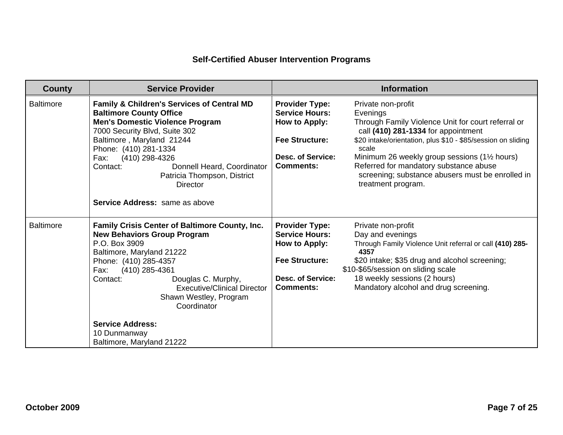| <b>County</b>    | <b>Service Provider</b>                                                                                                                                                                                                                                                                                                                                                        | <b>Information</b>                                                                                                                                                                                                                                                                                                                                                                                                                                                                                                    |
|------------------|--------------------------------------------------------------------------------------------------------------------------------------------------------------------------------------------------------------------------------------------------------------------------------------------------------------------------------------------------------------------------------|-----------------------------------------------------------------------------------------------------------------------------------------------------------------------------------------------------------------------------------------------------------------------------------------------------------------------------------------------------------------------------------------------------------------------------------------------------------------------------------------------------------------------|
| <b>Baltimore</b> | Family & Children's Services of Central MD<br><b>Baltimore County Office</b><br><b>Men's Domestic Violence Program</b><br>7000 Security Blvd, Suite 302<br>Baltimore, Maryland 21244<br>Phone: (410) 281-1334<br>Fax:<br>(410) 298-4326<br>Donnell Heard, Coordinator<br>Contact:<br>Patricia Thompson, District<br>Director<br><b>Service Address:</b> same as above          | <b>Provider Type:</b><br>Private non-profit<br><b>Service Hours:</b><br>Evenings<br>How to Apply:<br>Through Family Violence Unit for court referral or<br>call (410) 281-1334 for appointment<br><b>Fee Structure:</b><br>\$20 intake/orientation, plus \$10 - \$85/session on sliding<br>scale<br><b>Desc. of Service:</b><br>Minimum 26 weekly group sessions (11/2 hours)<br>Referred for mandatory substance abuse<br><b>Comments:</b><br>screening; substance abusers must be enrolled in<br>treatment program. |
| <b>Baltimore</b> | Family Crisis Center of Baltimore County, Inc.<br><b>New Behaviors Group Program</b><br>P.O. Box 3909<br>Baltimore, Maryland 21222<br>Phone: (410) 285-4357<br>(410) 285-4361<br>Fax:<br>Douglas C. Murphy,<br>Contact:<br><b>Executive/Clinical Director</b><br>Shawn Westley, Program<br>Coordinator<br><b>Service Address:</b><br>10 Dunmanway<br>Baltimore, Maryland 21222 | <b>Provider Type:</b><br>Private non-profit<br><b>Service Hours:</b><br>Day and evenings<br>How to Apply:<br>Through Family Violence Unit referral or call (410) 285-<br>4357<br><b>Fee Structure:</b><br>\$20 intake; \$35 drug and alcohol screening;<br>\$10-\$65/session on sliding scale<br>18 weekly sessions (2 hours)<br><b>Desc. of Service:</b><br>Mandatory alcohol and drug screening.<br><b>Comments:</b>                                                                                                |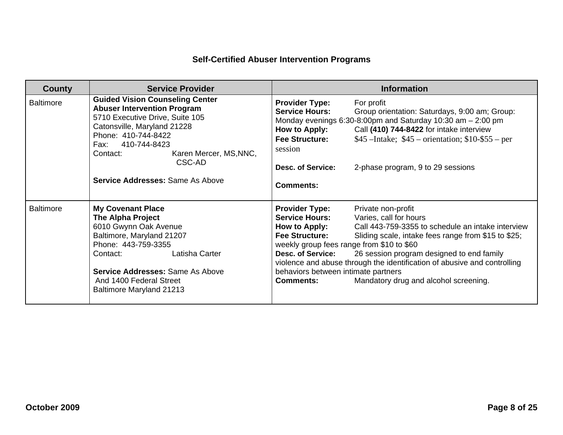| <b>County</b>    | <b>Service Provider</b>                                                                                                                                                                                                                                                                    |                                                                                                                                                                                                                              | <b>Information</b>                                                                                                                                                                                                                                                                                                         |
|------------------|--------------------------------------------------------------------------------------------------------------------------------------------------------------------------------------------------------------------------------------------------------------------------------------------|------------------------------------------------------------------------------------------------------------------------------------------------------------------------------------------------------------------------------|----------------------------------------------------------------------------------------------------------------------------------------------------------------------------------------------------------------------------------------------------------------------------------------------------------------------------|
| <b>Baltimore</b> | <b>Guided Vision Counseling Center</b><br><b>Abuser Intervention Program</b><br>5710 Executive Drive, Suite 105<br>Catonsville, Maryland 21228<br>Phone: 410-744-8422<br>410-744-8423<br>Fax: F<br>Karen Mercer, MS, NNC,<br>Contact:<br>CSC-AD<br><b>Service Addresses: Same As Above</b> | <b>Provider Type:</b><br><b>Service Hours:</b><br>How to Apply:<br><b>Fee Structure:</b><br>session<br><b>Desc. of Service:</b><br>Comments:                                                                                 | For profit<br>Group orientation: Saturdays, 9:00 am; Group:<br>Monday evenings $6:30-8:00$ pm and Saturday 10:30 am $-2:00$ pm<br>Call (410) 744-8422 for intake interview<br>$$45$ –Intake; $$45$ – orientation; $$10-\$55$ – per<br>2-phase program, 9 to 29 sessions                                                    |
| <b>Baltimore</b> | <b>My Covenant Place</b><br><b>The Alpha Project</b><br>6010 Gwynn Oak Avenue<br>Baltimore, Maryland 21207<br>Phone: 443-759-3355<br>Latisha Carter<br>Contact:<br><b>Service Addresses: Same As Above</b><br>And 1400 Federal Street<br><b>Baltimore Maryland 21213</b>                   | <b>Provider Type:</b><br><b>Service Hours:</b><br>How to Apply:<br><b>Fee Structure:</b><br>weekly group fees range from \$10 to \$60<br><b>Desc. of Service:</b><br>behaviors between intimate partners<br><b>Comments:</b> | Private non-profit<br>Varies, call for hours<br>Call 443-759-3355 to schedule an intake interview<br>Sliding scale, intake fees range from \$15 to \$25;<br>26 session program designed to end family<br>violence and abuse through the identification of abusive and controlling<br>Mandatory drug and alcohol screening. |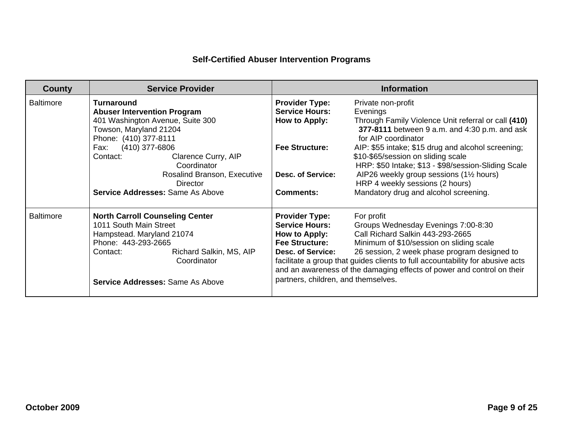| County           | <b>Service Provider</b>                                                                                                                                                                                        | <b>Information</b>                                                                                                                                                                                                                                                                                                                                                                                                                                                                                           |
|------------------|----------------------------------------------------------------------------------------------------------------------------------------------------------------------------------------------------------------|--------------------------------------------------------------------------------------------------------------------------------------------------------------------------------------------------------------------------------------------------------------------------------------------------------------------------------------------------------------------------------------------------------------------------------------------------------------------------------------------------------------|
| <b>Baltimore</b> | <b>Turnaround</b><br><b>Abuser Intervention Program</b><br>401 Washington Avenue, Suite 300<br>Towson, Maryland 21204<br>Phone: (410) 377-8111                                                                 | <b>Provider Type:</b><br>Private non-profit<br><b>Service Hours:</b><br>Evenings<br>Through Family Violence Unit referral or call (410)<br>How to Apply:<br>377-8111 between 9 a.m. and 4:30 p.m. and ask<br>for AIP coordinator                                                                                                                                                                                                                                                                             |
|                  | (410) 377-6806<br>Fax:<br>Clarence Curry, AIP<br>Contact:<br>Coordinator<br>Rosalind Branson, Executive<br>Director<br>Service Addresses: Same As Above                                                        | <b>Fee Structure:</b><br>AIP: \$55 intake; \$15 drug and alcohol screening;<br>\$10-\$65/session on sliding scale<br>HRP: \$50 Intake; \$13 - \$98/session-Sliding Scale<br>AIP26 weekly group sessions (11/2 hours)<br>Desc. of Service:<br>HRP 4 weekly sessions (2 hours)<br>Mandatory drug and alcohol screening.<br><b>Comments:</b>                                                                                                                                                                    |
| <b>Baltimore</b> | <b>North Carroll Counseling Center</b><br>1011 South Main Street<br>Hampstead. Maryland 21074<br>Phone: 443-293-2665<br>Richard Salkin, MS, AIP<br>Contact:<br>Coordinator<br>Service Addresses: Same As Above | <b>Provider Type:</b><br>For profit<br><b>Service Hours:</b><br>Groups Wednesday Evenings 7:00-8:30<br>Call Richard Salkin 443-293-2665<br>How to Apply:<br><b>Fee Structure:</b><br>Minimum of \$10/session on sliding scale<br>26 session, 2 week phase program designed to<br><b>Desc. of Service:</b><br>facilitate a group that guides clients to full accountability for abusive acts<br>and an awareness of the damaging effects of power and control on their<br>partners, children, and themselves. |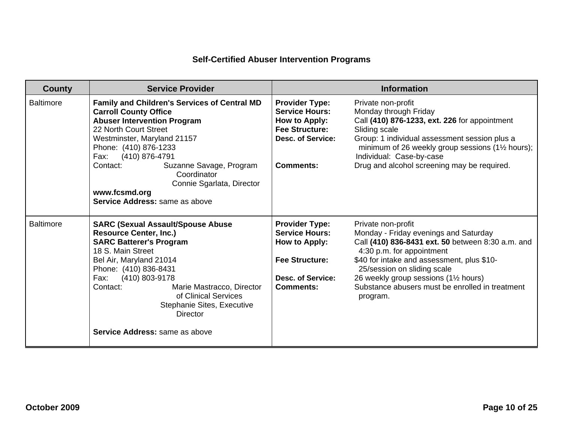| <b>County</b>    | <b>Service Provider</b>                                                                                                                                                                                                                                                                                                                                             |                                                                                                                                          | <b>Information</b>                                                                                                                                                                                                                                                                                                                 |
|------------------|---------------------------------------------------------------------------------------------------------------------------------------------------------------------------------------------------------------------------------------------------------------------------------------------------------------------------------------------------------------------|------------------------------------------------------------------------------------------------------------------------------------------|------------------------------------------------------------------------------------------------------------------------------------------------------------------------------------------------------------------------------------------------------------------------------------------------------------------------------------|
| <b>Baltimore</b> | Family and Children's Services of Central MD<br><b>Carroll County Office</b><br><b>Abuser Intervention Program</b><br>22 North Court Street<br>Westminster, Maryland 21157<br>Phone: (410) 876-1233<br>(410) 876-4791<br>Fax:<br>Contact:<br>Suzanne Savage, Program<br>Coordinator<br>Connie Sgarlata, Director<br>www.fcsmd.org<br>Service Address: same as above | <b>Provider Type:</b><br><b>Service Hours:</b><br>How to Apply:<br><b>Fee Structure:</b><br><b>Desc. of Service:</b><br><b>Comments:</b> | Private non-profit<br>Monday through Friday<br>Call (410) 876-1233, ext. 226 for appointment<br>Sliding scale<br>Group: 1 individual assessment session plus a<br>minimum of 26 weekly group sessions (11/2 hours);<br>Individual: Case-by-case<br>Drug and alcohol screening may be required.                                     |
| <b>Baltimore</b> | <b>SARC (Sexual Assault/Spouse Abuse</b><br><b>Resource Center, Inc.)</b><br><b>SARC Batterer's Program</b><br>18 S. Main Street<br>Bel Air, Maryland 21014<br>Phone: (410) 836-8431<br>(410) 803-9178<br>Fax:<br>Contact:<br>Marie Mastracco, Director<br>of Clinical Services<br>Stephanie Sites, Executive<br>Director<br><b>Service Address:</b> same as above  | <b>Provider Type:</b><br><b>Service Hours:</b><br>How to Apply:<br><b>Fee Structure:</b><br><b>Desc. of Service:</b><br><b>Comments:</b> | Private non-profit<br>Monday - Friday evenings and Saturday<br>Call (410) 836-8431 ext. 50 between 8:30 a.m. and<br>4:30 p.m. for appointment<br>\$40 for intake and assessment, plus \$10-<br>25/session on sliding scale<br>26 weekly group sessions (11/2 hours)<br>Substance abusers must be enrolled in treatment<br>program. |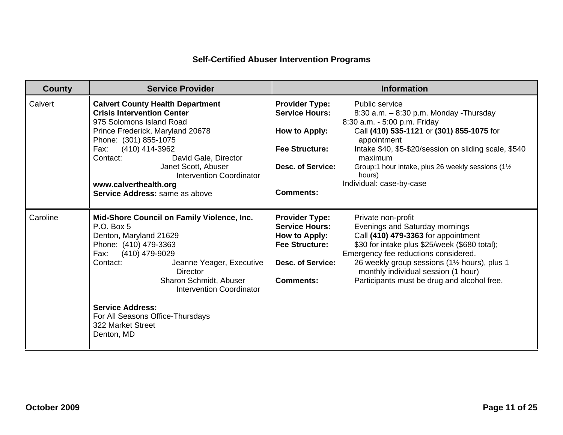| <b>County</b> | <b>Service Provider</b>                                                                                                                                                                                                                                                                                                                           | <b>Information</b>                                                                                                                                                                                                                                                                                                                                                                                                                                                          |
|---------------|---------------------------------------------------------------------------------------------------------------------------------------------------------------------------------------------------------------------------------------------------------------------------------------------------------------------------------------------------|-----------------------------------------------------------------------------------------------------------------------------------------------------------------------------------------------------------------------------------------------------------------------------------------------------------------------------------------------------------------------------------------------------------------------------------------------------------------------------|
| Calvert       | <b>Calvert County Health Department</b><br><b>Crisis Intervention Center</b><br>975 Solomons Island Road<br>Prince Frederick, Maryland 20678<br>Phone: (301) 855-1075<br>(410) 414-3962<br>Fax:<br>Contact:<br>David Gale, Director<br>Janet Scott, Abuser<br>Intervention Coordinator<br>www.calverthealth.org<br>Service Address: same as above | <b>Provider Type:</b><br><b>Public service</b><br><b>Service Hours:</b><br>$8:30$ a.m. $-8:30$ p.m. Monday -Thursday<br>8:30 a.m. - 5:00 p.m. Friday<br>Call (410) 535-1121 or (301) 855-1075 for<br>How to Apply:<br>appointment<br><b>Fee Structure:</b><br>Intake \$40, \$5-\$20/session on sliding scale, \$540<br>maximum<br><b>Desc. of Service:</b><br>Group:1 hour intake, plus 26 weekly sessions (11/2)<br>hours)<br>Individual: case-by-case<br><b>Comments:</b> |
| Caroline      | Mid-Shore Council on Family Violence, Inc.<br>P.O. Box 5<br>Denton, Maryland 21629<br>Phone: (410) 479-3363<br>(410) 479-9029<br>Fax:<br>Contact:<br>Jeanne Yeager, Executive<br>Director<br>Sharon Schmidt, Abuser<br>Intervention Coordinator<br><b>Service Address:</b><br>For All Seasons Office-Thursdays<br>322 Market Street<br>Denton, MD | <b>Provider Type:</b><br>Private non-profit<br><b>Service Hours:</b><br>Evenings and Saturday mornings<br>Call (410) 479-3363 for appointment<br>How to Apply:<br>\$30 for intake plus \$25/week (\$680 total);<br><b>Fee Structure:</b><br>Emergency fee reductions considered.<br>26 weekly group sessions (11/2 hours), plus 1<br><b>Desc. of Service:</b><br>monthly individual session (1 hour)<br>Participants must be drug and alcohol free.<br><b>Comments:</b>     |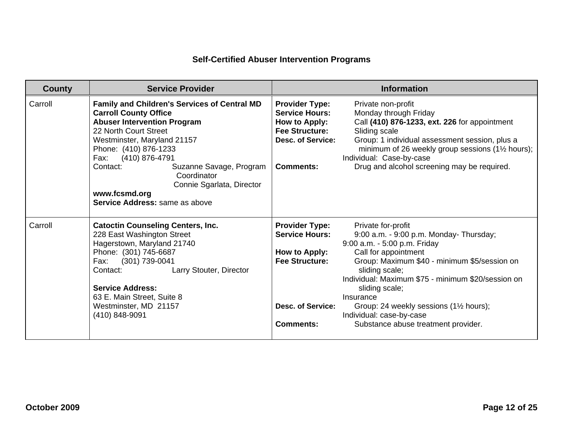| <b>County</b> | <b>Service Provider</b>                                                                                                                                                                                                                                                                                                                                                 |                                                                                                                                          | <b>Information</b>                                                                                                                                                                                                                                                                                                                                                                         |
|---------------|-------------------------------------------------------------------------------------------------------------------------------------------------------------------------------------------------------------------------------------------------------------------------------------------------------------------------------------------------------------------------|------------------------------------------------------------------------------------------------------------------------------------------|--------------------------------------------------------------------------------------------------------------------------------------------------------------------------------------------------------------------------------------------------------------------------------------------------------------------------------------------------------------------------------------------|
| Carroll       | <b>Family and Children's Services of Central MD</b><br><b>Carroll County Office</b><br><b>Abuser Intervention Program</b><br>22 North Court Street<br>Westminster, Maryland 21157<br>Phone: (410) 876-1233<br>Fax: (410) 876-4791<br>Suzanne Savage, Program<br>Contact:<br>Coordinator<br>Connie Sgarlata, Director<br>www.fcsmd.org<br>Service Address: same as above | <b>Provider Type:</b><br><b>Service Hours:</b><br>How to Apply:<br><b>Fee Structure:</b><br><b>Desc. of Service:</b><br><b>Comments:</b> | Private non-profit<br>Monday through Friday<br>Call (410) 876-1233, ext. 226 for appointment<br>Sliding scale<br>Group: 1 individual assessment session, plus a<br>minimum of 26 weekly group sessions $(1\frac{1}{2})$ hours);<br>Individual: Case-by-case<br>Drug and alcohol screening may be required.                                                                                 |
| Carroll       | <b>Catoctin Counseling Centers, Inc.</b><br>228 East Washington Street<br>Hagerstown, Maryland 21740<br>Phone: (301) 745-6687<br>(301) 739-0041<br>Fax:<br>Larry Stouter, Director<br>Contact:<br><b>Service Address:</b><br>63 E. Main Street, Suite 8<br>Westminster, MD 21157<br>(410) 848-9091                                                                      | <b>Provider Type:</b><br><b>Service Hours:</b><br>How to Apply:<br><b>Fee Structure:</b><br><b>Desc. of Service:</b><br><b>Comments:</b> | Private for-profit<br>9:00 a.m. - 9:00 p.m. Monday- Thursday;<br>9:00 a.m. - 5:00 p.m. Friday<br>Call for appointment<br>Group: Maximum \$40 - minimum \$5/session on<br>sliding scale;<br>Individual: Maximum \$75 - minimum \$20/session on<br>sliding scale;<br>Insurance<br>Group: 24 weekly sessions (11/2 hours);<br>Individual: case-by-case<br>Substance abuse treatment provider. |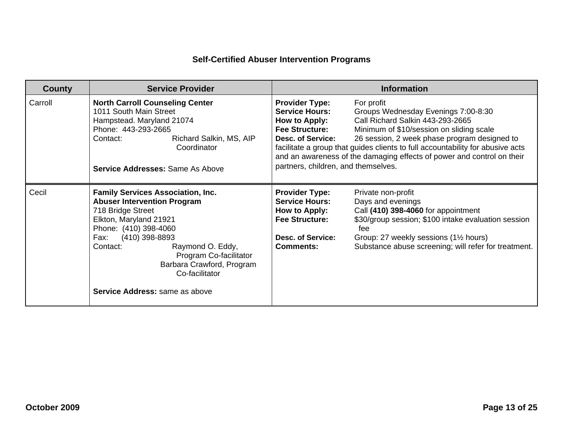| <b>County</b> | <b>Service Provider</b>                                                                                                                                                                                                                                                                                                            | <b>Information</b>                                                                                                                                                                                                                                                                                                                                                                                                                                                                                    |
|---------------|------------------------------------------------------------------------------------------------------------------------------------------------------------------------------------------------------------------------------------------------------------------------------------------------------------------------------------|-------------------------------------------------------------------------------------------------------------------------------------------------------------------------------------------------------------------------------------------------------------------------------------------------------------------------------------------------------------------------------------------------------------------------------------------------------------------------------------------------------|
| Carroll       | <b>North Carroll Counseling Center</b><br>1011 South Main Street<br>Hampstead. Maryland 21074<br>Phone: 443-293-2665<br>Richard Salkin, MS, AIP<br>Contact:<br>Coordinator<br><b>Service Addresses: Same As Above</b>                                                                                                              | <b>Provider Type:</b><br>For profit<br><b>Service Hours:</b><br>Groups Wednesday Evenings 7:00-8:30<br>Call Richard Salkin 443-293-2665<br>How to Apply:<br><b>Fee Structure:</b><br>Minimum of \$10/session on sliding scale<br>26 session, 2 week phase program designed to<br>Desc. of Service:<br>facilitate a group that guides clients to full accountability for abusive acts<br>and an awareness of the damaging effects of power and control on their<br>partners, children, and themselves. |
| Cecil         | <b>Family Services Association, Inc.</b><br><b>Abuser Intervention Program</b><br>718 Bridge Street<br>Elkton, Maryland 21921<br>Phone: (410) 398-4060<br>(410) 398-8893<br>Fax:<br>Raymond O. Eddy,<br>Contact:<br>Program Co-facilitator<br>Barbara Crawford, Program<br>Co-facilitator<br><b>Service Address:</b> same as above | <b>Provider Type:</b><br>Private non-profit<br><b>Service Hours:</b><br>Days and evenings<br>Call (410) 398-4060 for appointment<br>How to Apply:<br><b>Fee Structure:</b><br>\$30/group session; \$100 intake evaluation session<br>fee<br>Group: 27 weekly sessions (1½ hours)<br>Desc. of Service:<br>Substance abuse screening; will refer for treatment.<br>Comments:                                                                                                                            |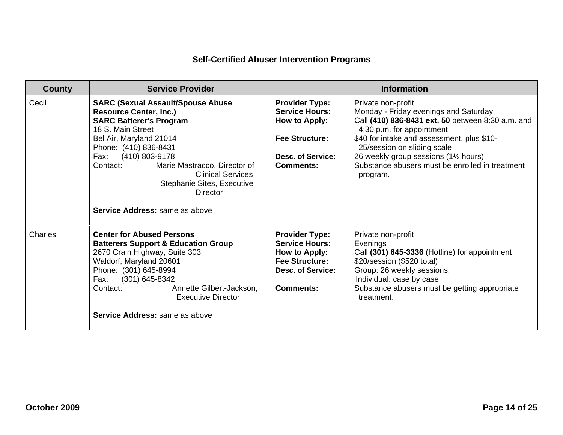| <b>County</b> | <b>Service Provider</b>                                                                                                                                                                                                                                                                                                                                            |                                                                                                                                          | <b>Information</b>                                                                                                                                                                                                                                                                                                                 |
|---------------|--------------------------------------------------------------------------------------------------------------------------------------------------------------------------------------------------------------------------------------------------------------------------------------------------------------------------------------------------------------------|------------------------------------------------------------------------------------------------------------------------------------------|------------------------------------------------------------------------------------------------------------------------------------------------------------------------------------------------------------------------------------------------------------------------------------------------------------------------------------|
| Cecil         | <b>SARC (Sexual Assault/Spouse Abuse</b><br><b>Resource Center, Inc.)</b><br><b>SARC Batterer's Program</b><br>18 S. Main Street<br>Bel Air, Maryland 21014<br>Phone: (410) 836-8431<br>(410) 803-9178<br>Fax:<br>Contact:<br>Marie Mastracco, Director of<br><b>Clinical Services</b><br>Stephanie Sites, Executive<br>Director<br>Service Address: same as above | <b>Provider Type:</b><br><b>Service Hours:</b><br>How to Apply:<br><b>Fee Structure:</b><br><b>Desc. of Service:</b><br><b>Comments:</b> | Private non-profit<br>Monday - Friday evenings and Saturday<br>Call (410) 836-8431 ext. 50 between 8:30 a.m. and<br>4:30 p.m. for appointment<br>\$40 for intake and assessment, plus \$10-<br>25/session on sliding scale<br>26 weekly group sessions (11/2 hours)<br>Substance abusers must be enrolled in treatment<br>program. |
| Charles       | <b>Center for Abused Persons</b><br><b>Batterers Support &amp; Education Group</b><br>2670 Crain Highway, Suite 303<br>Waldorf, Maryland 20601<br>Phone: (301) 645-8994<br>$(301)$ 645-8342<br>Fax:<br>Annette Gilbert-Jackson.<br>Contact:<br><b>Executive Director</b><br><b>Service Address:</b> same as above                                                  | <b>Provider Type:</b><br><b>Service Hours:</b><br>How to Apply:<br><b>Fee Structure:</b><br><b>Desc. of Service:</b><br><b>Comments:</b> | Private non-profit<br>Evenings<br>Call (301) 645-3336 (Hotline) for appointment<br>\$20/session (\$520 total)<br>Group: 26 weekly sessions;<br>Individual: case by case<br>Substance abusers must be getting appropriate<br>treatment.                                                                                             |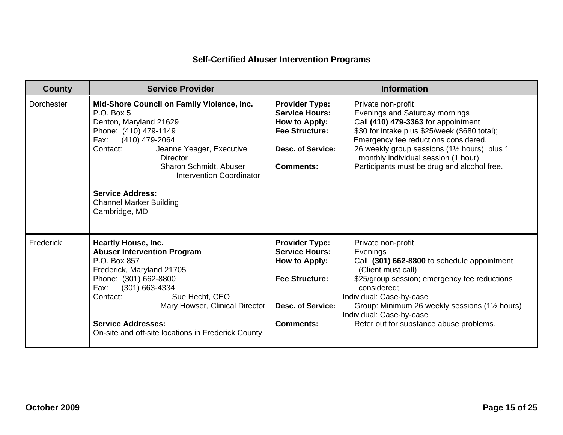| <b>County</b>     | <b>Service Provider</b>                                                                                                                                                                                                                                                                                                              |                                                                                                                                          | <b>Information</b>                                                                                                                                                                                                                                                                                                          |
|-------------------|--------------------------------------------------------------------------------------------------------------------------------------------------------------------------------------------------------------------------------------------------------------------------------------------------------------------------------------|------------------------------------------------------------------------------------------------------------------------------------------|-----------------------------------------------------------------------------------------------------------------------------------------------------------------------------------------------------------------------------------------------------------------------------------------------------------------------------|
| <b>Dorchester</b> | Mid-Shore Council on Family Violence, Inc.<br>P.O. Box 5<br>Denton, Maryland 21629<br>Phone: (410) 479-1149<br>(410) 479-2064<br>Fax:<br>Contact:<br>Jeanne Yeager, Executive<br><b>Director</b><br>Sharon Schmidt, Abuser<br>Intervention Coordinator<br><b>Service Address:</b><br><b>Channel Marker Building</b><br>Cambridge, MD | <b>Provider Type:</b><br><b>Service Hours:</b><br>How to Apply:<br><b>Fee Structure:</b><br><b>Desc. of Service:</b><br><b>Comments:</b> | Private non-profit<br>Evenings and Saturday mornings<br>Call (410) 479-3363 for appointment<br>\$30 for intake plus \$25/week (\$680 total);<br>Emergency fee reductions considered.<br>26 weekly group sessions (11/2 hours), plus 1<br>monthly individual session (1 hour)<br>Participants must be drug and alcohol free. |
| Frederick         | <b>Heartly House, Inc.</b><br><b>Abuser Intervention Program</b><br>P.O. Box 857<br>Frederick, Maryland 21705<br>Phone: (301) 662-8800<br>(301) 663-4334<br>Fax:<br>Sue Hecht, CEO<br>Contact:<br>Mary Howser, Clinical Director<br><b>Service Addresses:</b><br>On-site and off-site locations in Frederick County                  | <b>Provider Type:</b><br><b>Service Hours:</b><br>How to Apply:<br><b>Fee Structure:</b><br><b>Desc. of Service:</b><br><b>Comments:</b> | Private non-profit<br>Evenings<br>Call (301) 662-8800 to schedule appointment<br>(Client must call)<br>\$25/group session; emergency fee reductions<br>considered;<br>Individual: Case-by-case<br>Group: Minimum 26 weekly sessions (11/2 hours)<br>Individual: Case-by-case<br>Refer out for substance abuse problems.     |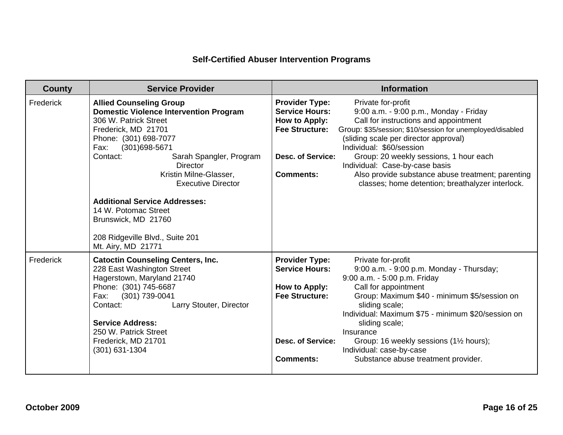| County    | <b>Service Provider</b>                                                                                                                                                                                                                                                                             |                                                                                                                                          | <b>Information</b>                                                                                                                                                                                                                                                                                                                                                                                                           |
|-----------|-----------------------------------------------------------------------------------------------------------------------------------------------------------------------------------------------------------------------------------------------------------------------------------------------------|------------------------------------------------------------------------------------------------------------------------------------------|------------------------------------------------------------------------------------------------------------------------------------------------------------------------------------------------------------------------------------------------------------------------------------------------------------------------------------------------------------------------------------------------------------------------------|
| Frederick | <b>Allied Counseling Group</b><br><b>Domestic Violence Intervention Program</b><br>306 W. Patrick Street<br>Frederick, MD 21701<br>Phone: (301) 698-7077<br>(301) 698-5671<br>Fax:<br>Contact:<br>Sarah Spangler, Program<br><b>Director</b><br>Kristin Milne-Glasser,<br><b>Executive Director</b> | <b>Provider Type:</b><br><b>Service Hours:</b><br>How to Apply:<br><b>Fee Structure:</b><br><b>Desc. of Service:</b><br><b>Comments:</b> | Private for-profit<br>9:00 a.m. - 9:00 p.m., Monday - Friday<br>Call for instructions and appointment<br>Group: \$35/session; \$10/session for unemployed/disabled<br>(sliding scale per director approval)<br>Individual: \$60/session<br>Group: 20 weekly sessions, 1 hour each<br>Individual: Case-by-case basis<br>Also provide substance abuse treatment; parenting<br>classes; home detention; breathalyzer interlock. |
|           | <b>Additional Service Addresses:</b><br>14 W. Potomac Street<br>Brunswick, MD 21760<br>208 Ridgeville Blvd., Suite 201<br>Mt. Airy, MD 21771                                                                                                                                                        |                                                                                                                                          |                                                                                                                                                                                                                                                                                                                                                                                                                              |
| Frederick | <b>Catoctin Counseling Centers, Inc.</b><br>228 East Washington Street<br>Hagerstown, Maryland 21740<br>Phone: (301) 745-6687<br>Fax:<br>(301) 739-0041<br>Contact:<br>Larry Stouter, Director<br><b>Service Address:</b><br>250 W. Patrick Street<br>Frederick, MD 21701<br>(301) 631-1304         | <b>Provider Type:</b><br><b>Service Hours:</b><br>How to Apply:<br><b>Fee Structure:</b><br><b>Desc. of Service:</b><br><b>Comments:</b> | Private for-profit<br>9:00 a.m. - 9:00 p.m. Monday - Thursday;<br>9:00 a.m. - 5:00 p.m. Friday<br>Call for appointment<br>Group: Maximum \$40 - minimum \$5/session on<br>sliding scale;<br>Individual: Maximum \$75 - minimum \$20/session on<br>sliding scale;<br>Insurance<br>Group: 16 weekly sessions (11/2 hours);<br>Individual: case-by-case<br>Substance abuse treatment provider.                                  |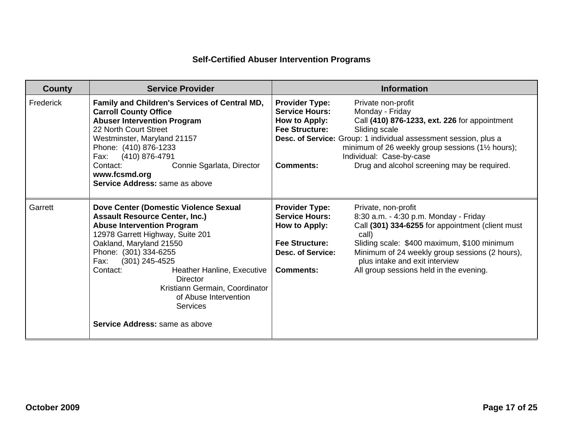| <b>County</b> | <b>Service Provider</b>                                                                                                                                                                                                                                                                                                                                                                                              | <b>Information</b>                                                                                                                                                                                                                                                                                                                                                                                                                                  |
|---------------|----------------------------------------------------------------------------------------------------------------------------------------------------------------------------------------------------------------------------------------------------------------------------------------------------------------------------------------------------------------------------------------------------------------------|-----------------------------------------------------------------------------------------------------------------------------------------------------------------------------------------------------------------------------------------------------------------------------------------------------------------------------------------------------------------------------------------------------------------------------------------------------|
| Frederick     | Family and Children's Services of Central MD,<br><b>Carroll County Office</b><br><b>Abuser Intervention Program</b><br>22 North Court Street<br>Westminster, Maryland 21157<br>Phone: (410) 876-1233<br>(410) 876-4791<br>Fax:<br>Contact:<br>Connie Sgarlata, Director<br>www.fcsmd.org<br>Service Address: same as above                                                                                           | <b>Provider Type:</b><br>Private non-profit<br><b>Service Hours:</b><br>Monday - Friday<br>How to Apply:<br>Call (410) 876-1233, ext. 226 for appointment<br><b>Fee Structure:</b><br>Sliding scale<br>Desc. of Service: Group: 1 individual assessment session, plus a<br>minimum of 26 weekly group sessions ( $1\frac{1}{2}$ hours);<br>Individual: Case-by-case<br>Drug and alcohol screening may be required.<br><b>Comments:</b>              |
| Garrett       | Dove Center (Domestic Violence Sexual<br><b>Assault Resource Center, Inc.)</b><br><b>Abuse Intervention Program</b><br>12978 Garrett Highway, Suite 201<br>Oakland, Maryland 21550<br>Phone: (301) 334-6255<br>$(301)$ 245-4525<br>Fax:<br>Heather Hanline, Executive<br>Contact:<br><b>Director</b><br>Kristiann Germain, Coordinator<br>of Abuse Intervention<br>Services<br><b>Service Address:</b> same as above | <b>Provider Type:</b><br>Private, non-profit<br><b>Service Hours:</b><br>8:30 a.m. - 4:30 p.m. Monday - Friday<br>Call (301) 334-6255 for appointment (client must<br>How to Apply:<br>call)<br><b>Fee Structure:</b><br>Sliding scale: \$400 maximum, \$100 minimum<br>Minimum of 24 weekly group sessions (2 hours),<br><b>Desc. of Service:</b><br>plus intake and exit interview<br>All group sessions held in the evening.<br><b>Comments:</b> |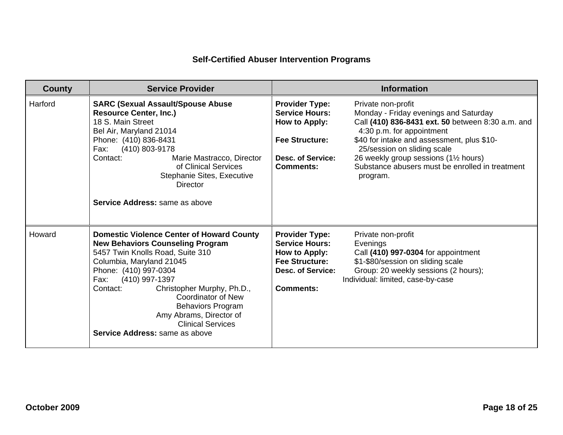| <b>County</b> | <b>Service Provider</b>                                                                                                                                                                                                                                                                                                                                                                                    |                                                                                                                                          | <b>Information</b>                                                                                                                                                                                                                                                                                                                 |
|---------------|------------------------------------------------------------------------------------------------------------------------------------------------------------------------------------------------------------------------------------------------------------------------------------------------------------------------------------------------------------------------------------------------------------|------------------------------------------------------------------------------------------------------------------------------------------|------------------------------------------------------------------------------------------------------------------------------------------------------------------------------------------------------------------------------------------------------------------------------------------------------------------------------------|
| Harford       | <b>SARC (Sexual Assault/Spouse Abuse</b><br><b>Resource Center, Inc.)</b><br>18 S. Main Street<br>Bel Air, Maryland 21014<br>Phone: (410) 836-8431<br>(410) 803-9178<br>Fax:<br>Contact:<br>Marie Mastracco, Director<br>of Clinical Services<br>Stephanie Sites, Executive<br><b>Director</b><br>Service Address: same as above                                                                           | <b>Provider Type:</b><br><b>Service Hours:</b><br>How to Apply:<br><b>Fee Structure:</b><br><b>Desc. of Service:</b><br><b>Comments:</b> | Private non-profit<br>Monday - Friday evenings and Saturday<br>Call (410) 836-8431 ext. 50 between 8:30 a.m. and<br>4:30 p.m. for appointment<br>\$40 for intake and assessment, plus \$10-<br>25/session on sliding scale<br>26 weekly group sessions (11/2 hours)<br>Substance abusers must be enrolled in treatment<br>program. |
| Howard        | <b>Domestic Violence Center of Howard County</b><br><b>New Behaviors Counseling Program</b><br>5457 Twin Knolls Road, Suite 310<br>Columbia, Maryland 21045<br>Phone: (410) 997-0304<br>(410) 997-1397<br>Fax:<br>Christopher Murphy, Ph.D.,<br>Contact:<br><b>Coordinator of New</b><br><b>Behaviors Program</b><br>Amy Abrams, Director of<br><b>Clinical Services</b><br>Service Address: same as above | <b>Provider Type:</b><br><b>Service Hours:</b><br>How to Apply:<br><b>Fee Structure:</b><br>Desc. of Service:<br>Comments:               | Private non-profit<br>Evenings<br>Call (410) 997-0304 for appointment<br>\$1-\$80/session on sliding scale<br>Group: 20 weekly sessions (2 hours);<br>Individual: limited, case-by-case                                                                                                                                            |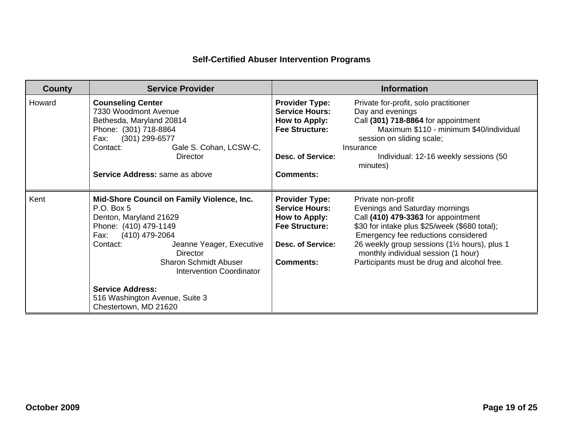| County | <b>Service Provider</b>                                                                                                                                                                                                                                                                                                                                   | <b>Information</b>                                                                                                                                                                                                                                                                                                                                                                                                                                              |
|--------|-----------------------------------------------------------------------------------------------------------------------------------------------------------------------------------------------------------------------------------------------------------------------------------------------------------------------------------------------------------|-----------------------------------------------------------------------------------------------------------------------------------------------------------------------------------------------------------------------------------------------------------------------------------------------------------------------------------------------------------------------------------------------------------------------------------------------------------------|
| Howard | <b>Counseling Center</b><br>7330 Woodmont Avenue<br>Bethesda, Maryland 20814<br>Phone: (301) 718-8864<br>Fax:<br>(301) 299-6577<br>Contact:<br>Gale S. Cohan, LCSW-C,<br>Director<br>Service Address: same as above                                                                                                                                       | <b>Provider Type:</b><br>Private for-profit, solo practitioner<br><b>Service Hours:</b><br>Day and evenings<br>Call (301) 718-8864 for appointment<br>How to Apply:<br><b>Fee Structure:</b><br>Maximum \$110 - minimum \$40/individual<br>session on sliding scale;<br>Insurance<br><b>Desc. of Service:</b><br>Individual: 12-16 weekly sessions (50<br>minutes)<br><b>Comments:</b>                                                                          |
| Kent   | Mid-Shore Council on Family Violence, Inc.<br>P.O. Box 5<br>Denton, Maryland 21629<br>Phone: (410) 479-1149<br>(410) 479-2064<br>Fax:<br>Jeanne Yeager, Executive<br>Contact:<br><b>Director</b><br><b>Sharon Schmidt Abuser</b><br><b>Intervention Coordinator</b><br><b>Service Address:</b><br>516 Washington Avenue, Suite 3<br>Chestertown, MD 21620 | <b>Provider Type:</b><br>Private non-profit<br><b>Service Hours:</b><br>Evenings and Saturday mornings<br>Call (410) 479-3363 for appointment<br>How to Apply:<br><b>Fee Structure:</b><br>\$30 for intake plus \$25/week (\$680 total);<br>Emergency fee reductions considered<br>26 weekly group sessions (11/2 hours), plus 1<br><b>Desc. of Service:</b><br>monthly individual session (1 hour)<br>Participants must be drug and alcohol free.<br>Comments: |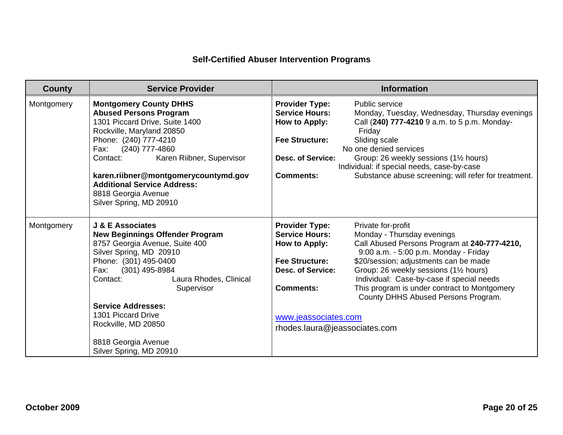| <b>County</b> | <b>Service Provider</b>                                                                                                                                                                                                                                                                                                                                    | <b>Information</b>                                                                                                                                                                                                                                                                                                                                                                                                                                                                                                                                                    |
|---------------|------------------------------------------------------------------------------------------------------------------------------------------------------------------------------------------------------------------------------------------------------------------------------------------------------------------------------------------------------------|-----------------------------------------------------------------------------------------------------------------------------------------------------------------------------------------------------------------------------------------------------------------------------------------------------------------------------------------------------------------------------------------------------------------------------------------------------------------------------------------------------------------------------------------------------------------------|
| Montgomery    | <b>Montgomery County DHHS</b><br><b>Abused Persons Program</b><br>1301 Piccard Drive, Suite 1400<br>Rockville, Maryland 20850<br>Phone: (240) 777-4210<br>Fax: (240) 777-4860<br>Contact:<br>Karen Riibner, Supervisor<br>karen.riibner@montgomerycountymd.gov<br><b>Additional Service Address:</b><br>8818 Georgia Avenue<br>Silver Spring, MD 20910     | <b>Provider Type:</b><br>Public service<br><b>Service Hours:</b><br>Monday, Tuesday, Wednesday, Thursday evenings<br>Call (240) 777-4210 9 a.m. to 5 p.m. Monday-<br>How to Apply:<br>Friday<br><b>Fee Structure:</b><br>Sliding scale<br>No one denied services<br><b>Desc. of Service:</b><br>Group: 26 weekly sessions (1½ hours)<br>Individual: if special needs, case-by-case<br><b>Comments:</b><br>Substance abuse screening; will refer for treatment.                                                                                                        |
| Montgomery    | J & E Associates<br><b>New Beginnings Offender Program</b><br>8757 Georgia Avenue, Suite 400<br>Silver Spring, MD 20910<br>Phone: (301) 495-0400<br>(301) 495-8984<br>Fax:<br>Laura Rhodes, Clinical<br>Contact:<br>Supervisor<br><b>Service Addresses:</b><br>1301 Piccard Drive<br>Rockville, MD 20850<br>8818 Georgia Avenue<br>Silver Spring, MD 20910 | <b>Provider Type:</b><br>Private for-profit<br><b>Service Hours:</b><br>Monday - Thursday evenings<br>Call Abused Persons Program at 240-777-4210,<br>How to Apply:<br>9:00 a.m. - 5:00 p.m. Monday - Friday<br><b>Fee Structure:</b><br>\$20/session; adjustments can be made<br>Group: 26 weekly sessions (11/2 hours)<br><b>Desc. of Service:</b><br>Individual: Case-by-case if special needs<br>This program is under contract to Montgomery<br><b>Comments:</b><br>County DHHS Abused Persons Program.<br>www.jeassociates.com<br>rhodes.laura@jeassociates.com |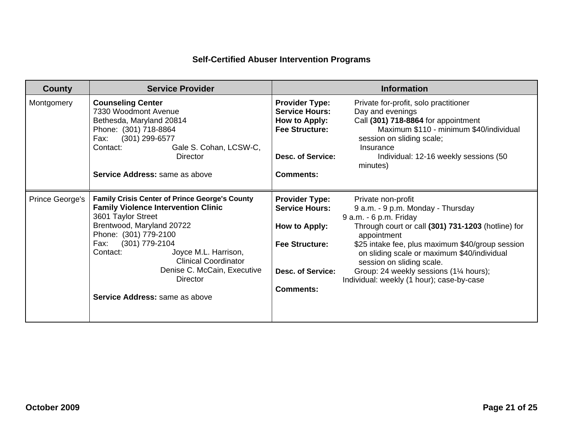| <b>County</b>   | <b>Service Provider</b>                                                                                                                                                                                                                                                                                                                                   | <b>Information</b>                                                                                                                                                                                                                                                                                                                                                                                                                                                                                                  |
|-----------------|-----------------------------------------------------------------------------------------------------------------------------------------------------------------------------------------------------------------------------------------------------------------------------------------------------------------------------------------------------------|---------------------------------------------------------------------------------------------------------------------------------------------------------------------------------------------------------------------------------------------------------------------------------------------------------------------------------------------------------------------------------------------------------------------------------------------------------------------------------------------------------------------|
| Montgomery      | <b>Counseling Center</b><br>7330 Woodmont Avenue<br>Bethesda, Maryland 20814<br>Phone: (301) 718-8864<br>(301) 299-6577<br>Fax:<br>Gale S. Cohan, LCSW-C,<br>Contact:<br>Director<br>Service Address: same as above                                                                                                                                       | <b>Provider Type:</b><br>Private for-profit, solo practitioner<br><b>Service Hours:</b><br>Day and evenings<br>Call (301) 718-8864 for appointment<br><b>How to Apply:</b><br><b>Fee Structure:</b><br>Maximum \$110 - minimum \$40/individual<br>session on sliding scale;<br>Insurance<br><b>Desc. of Service:</b><br>Individual: 12-16 weekly sessions (50<br>minutes)<br><b>Comments:</b>                                                                                                                       |
| Prince George's | <b>Family Crisis Center of Prince George's County</b><br><b>Family Violence Intervention Clinic</b><br>3601 Taylor Street<br>Brentwood, Maryland 20722<br>Phone: (301) 779-2100<br>(301) 779-2104<br>Fax:<br>Contact:<br>Joyce M.L. Harrison,<br><b>Clinical Coordinator</b><br>Denise C. McCain, Executive<br>Director<br>Service Address: same as above | <b>Provider Type:</b><br>Private non-profit<br><b>Service Hours:</b><br>9 a.m. - 9 p.m. Monday - Thursday<br>9 a.m. - 6 p.m. Friday<br>Through court or call (301) 731-1203 (hotline) for<br>How to Apply:<br>appointment<br>\$25 intake fee, plus maximum \$40/group session<br><b>Fee Structure:</b><br>on sliding scale or maximum \$40/individual<br>session on sliding scale.<br>Group: 24 weekly sessions (11/4 hours);<br>Desc. of Service:<br>Individual: weekly (1 hour); case-by-case<br><b>Comments:</b> |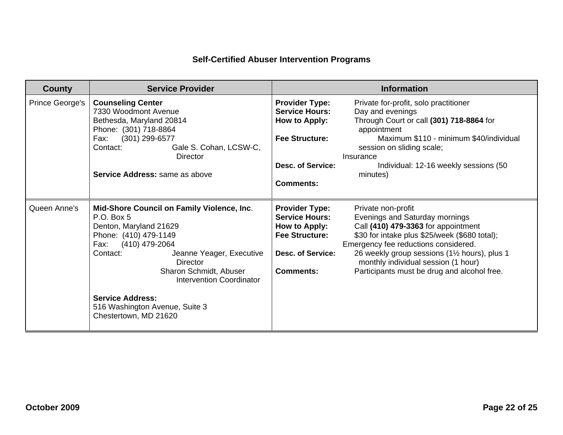| <b>County</b>   | <b>Service Provider</b>                                                                                                                                                                                                                                                                                                                      | <b>Information</b>                                                                                                                                                                                                                                                                                                                                                                                                                                                      |  |  |
|-----------------|----------------------------------------------------------------------------------------------------------------------------------------------------------------------------------------------------------------------------------------------------------------------------------------------------------------------------------------------|-------------------------------------------------------------------------------------------------------------------------------------------------------------------------------------------------------------------------------------------------------------------------------------------------------------------------------------------------------------------------------------------------------------------------------------------------------------------------|--|--|
| Prince George's | <b>Counseling Center</b><br>7330 Woodmont Avenue<br>Bethesda, Maryland 20814<br>Phone: (301) 718-8864<br>(301) 299-6577<br>Fax:<br>Gale S. Cohan, LCSW-C,<br>Contact:<br>Director<br><b>Service Address:</b> same as above                                                                                                                   | <b>Provider Type:</b><br>Private for-profit, solo practitioner<br><b>Service Hours:</b><br>Day and evenings<br>Through Court or call (301) 718-8864 for<br>How to Apply:<br>appointment<br><b>Fee Structure:</b><br>Maximum \$110 - minimum \$40/individual<br>session on sliding scale;<br>Insurance<br><b>Desc. of Service:</b><br>Individual: 12-16 weekly sessions (50<br>minutes)<br><b>Comments:</b>                                                              |  |  |
| Queen Anne's    | Mid-Shore Council on Family Violence, Inc.<br>P.O. Box 5<br>Denton, Maryland 21629<br>Phone: (410) 479-1149<br>(410) 479-2064<br>Fax:<br>Contact:<br>Jeanne Yeager, Executive<br><b>Director</b><br>Sharon Schmidt, Abuser<br>Intervention Coordinator<br><b>Service Address:</b><br>516 Washington Avenue, Suite 3<br>Chestertown, MD 21620 | <b>Provider Type:</b><br>Private non-profit<br><b>Service Hours:</b><br>Evenings and Saturday mornings<br>Call (410) 479-3363 for appointment<br>How to Apply:<br>\$30 for intake plus \$25/week (\$680 total);<br><b>Fee Structure:</b><br>Emergency fee reductions considered.<br>26 weekly group sessions (11/2 hours), plus 1<br><b>Desc. of Service:</b><br>monthly individual session (1 hour)<br>Participants must be drug and alcohol free.<br><b>Comments:</b> |  |  |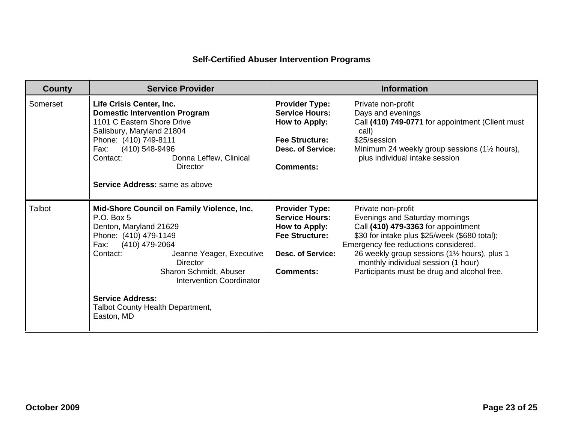| <b>County</b> | <b>Service Provider</b>                                                                                                                                                                                                                                                                                                          | <b>Information</b>                                                                                                                       |                                                                                                                                                                                                                                                                                                                             |  |
|---------------|----------------------------------------------------------------------------------------------------------------------------------------------------------------------------------------------------------------------------------------------------------------------------------------------------------------------------------|------------------------------------------------------------------------------------------------------------------------------------------|-----------------------------------------------------------------------------------------------------------------------------------------------------------------------------------------------------------------------------------------------------------------------------------------------------------------------------|--|
| Somerset      | Life Crisis Center, Inc.<br><b>Domestic Intervention Program</b><br>1101 C Eastern Shore Drive<br>Salisbury, Maryland 21804<br>Phone: (410) 749-8111<br>(410) 548-9496<br>Fax:<br>Contact:<br>Donna Leffew, Clinical<br><b>Director</b><br>Service Address: same as above                                                        | <b>Provider Type:</b><br><b>Service Hours:</b><br>How to Apply:<br><b>Fee Structure:</b><br>Desc. of Service:<br><b>Comments:</b>        | Private non-profit<br>Days and evenings<br>Call (410) 749-0771 for appointment (Client must<br>call)<br>\$25/session<br>Minimum 24 weekly group sessions (1½ hours),<br>plus individual intake session                                                                                                                      |  |
| Talbot        | Mid-Shore Council on Family Violence, Inc.<br>P.O. Box 5<br>Denton, Maryland 21629<br>Phone: (410) 479-1149<br>Fax: (410) 479-2064<br>Contact:<br>Jeanne Yeager, Executive<br><b>Director</b><br>Sharon Schmidt, Abuser<br>Intervention Coordinator<br><b>Service Address:</b><br>Talbot County Health Department,<br>Easton, MD | <b>Provider Type:</b><br><b>Service Hours:</b><br>How to Apply:<br><b>Fee Structure:</b><br><b>Desc. of Service:</b><br><b>Comments:</b> | Private non-profit<br>Evenings and Saturday mornings<br>Call (410) 479-3363 for appointment<br>\$30 for intake plus \$25/week (\$680 total);<br>Emergency fee reductions considered.<br>26 weekly group sessions (11/2 hours), plus 1<br>monthly individual session (1 hour)<br>Participants must be drug and alcohol free. |  |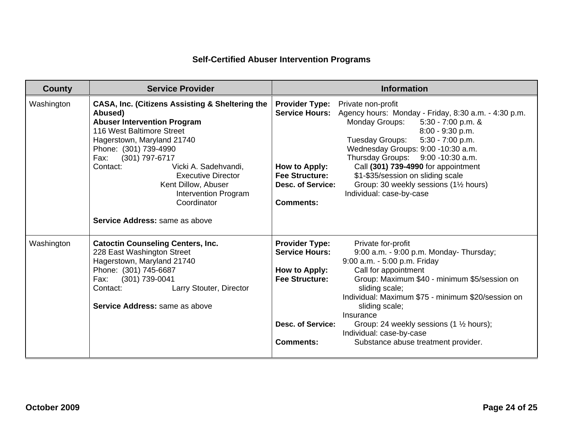| <b>County</b> | <b>Service Provider</b>                                                                                                                                                                                                                                                                                                                                                                    | <b>Information</b>                                                                                                                                                                                                                                                                                                                                                                                                                                                                                                                                              |  |  |
|---------------|--------------------------------------------------------------------------------------------------------------------------------------------------------------------------------------------------------------------------------------------------------------------------------------------------------------------------------------------------------------------------------------------|-----------------------------------------------------------------------------------------------------------------------------------------------------------------------------------------------------------------------------------------------------------------------------------------------------------------------------------------------------------------------------------------------------------------------------------------------------------------------------------------------------------------------------------------------------------------|--|--|
| Washington    | <b>CASA, Inc. (Citizens Assisting &amp; Sheltering the</b><br>Abused)<br><b>Abuser Intervention Program</b><br>116 West Baltimore Street<br>Hagerstown, Maryland 21740<br>Phone: (301) 739-4990<br>(301) 797-6717<br>Fax:<br>Contact:<br>Vicki A. Sadehvandi,<br><b>Executive Director</b><br>Kent Dillow, Abuser<br>Intervention Program<br>Coordinator<br>Service Address: same as above | <b>Provider Type:</b><br>Private non-profit<br>Agency hours: Monday - Friday, 8:30 a.m. - 4:30 p.m.<br><b>Service Hours:</b><br><b>Monday Groups:</b><br>$5:30 - 7:00$ p.m. &<br>8:00 - 9:30 p.m.<br>5:30 - 7:00 p.m.<br>Tuesday Groups:<br>Wednesday Groups: 9:00 -10:30 a.m.<br>Thursday Groups: 9:00 -10:30 a.m.<br>Call (301) 739-4990 for appointment<br>How to Apply:<br><b>Fee Structure:</b><br>\$1-\$35/session on sliding scale<br>Group: 30 weekly sessions (11/2 hours)<br><b>Desc. of Service:</b><br>Individual: case-by-case<br><b>Comments:</b> |  |  |
| Washington    | <b>Catoctin Counseling Centers, Inc.</b><br>228 East Washington Street<br>Hagerstown, Maryland 21740<br>Phone: (301) 745-6687<br>Fax:<br>(301) 739-0041<br>Larry Stouter, Director<br>Contact:<br>Service Address: same as above                                                                                                                                                           | <b>Provider Type:</b><br>Private for-profit<br><b>Service Hours:</b><br>9:00 a.m. - 9:00 p.m. Monday- Thursday;<br>9:00 a.m. - 5:00 p.m. Friday<br>Call for appointment<br>How to Apply:<br><b>Fee Structure:</b><br>Group: Maximum \$40 - minimum \$5/session on<br>sliding scale;<br>Individual: Maximum \$75 - minimum \$20/session on<br>sliding scale;<br>Insurance<br><b>Desc. of Service:</b><br>Group: 24 weekly sessions (1 1/2 hours);<br>Individual: case-by-case<br><b>Comments:</b><br>Substance abuse treatment provider.                         |  |  |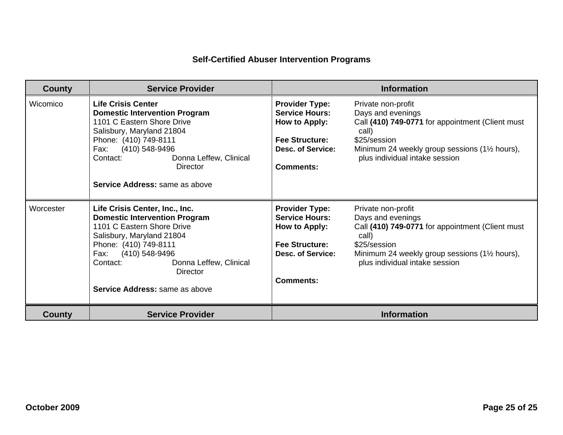| <b>County</b> | <b>Service Provider</b>                                                                                                                                                                                                                                                         | <b>Information</b>                                                                                                                       |                                                                                                                                                                                                          |  |
|---------------|---------------------------------------------------------------------------------------------------------------------------------------------------------------------------------------------------------------------------------------------------------------------------------|------------------------------------------------------------------------------------------------------------------------------------------|----------------------------------------------------------------------------------------------------------------------------------------------------------------------------------------------------------|--|
| Wicomico      | <b>Life Crisis Center</b><br><b>Domestic Intervention Program</b><br>1101 C Eastern Shore Drive<br>Salisbury, Maryland 21804<br>Phone: (410) 749-8111<br>(410) 548-9496<br>Fax:<br>Donna Leffew, Clinical<br>Contact:<br>Director<br>Service Address: same as above             | <b>Provider Type:</b><br><b>Service Hours:</b><br>How to Apply:<br><b>Fee Structure:</b><br><b>Desc. of Service:</b><br><b>Comments:</b> | Private non-profit<br>Days and evenings<br>Call (410) 749-0771 for appointment (Client must<br>call)<br>\$25/session<br>Minimum 24 weekly group sessions (11/2 hours),<br>plus individual intake session |  |
| Worcester     | Life Crisis Center, Inc., Inc.<br><b>Domestic Intervention Program</b><br>1101 C Eastern Shore Drive<br>Salisbury, Maryland 21804<br>Phone: (410) 749-8111<br>(410) 548-9496<br>Fax:<br>Contact:<br>Donna Leffew, Clinical<br><b>Director</b><br>Service Address: same as above | <b>Provider Type:</b><br><b>Service Hours:</b><br>How to Apply:<br><b>Fee Structure:</b><br>Desc. of Service:<br><b>Comments:</b>        | Private non-profit<br>Days and evenings<br>Call (410) 749-0771 for appointment (Client must<br>call)<br>\$25/session<br>Minimum 24 weekly group sessions (11/2 hours),<br>plus individual intake session |  |
| <b>County</b> | <b>Service Provider</b>                                                                                                                                                                                                                                                         |                                                                                                                                          | <b>Information</b>                                                                                                                                                                                       |  |